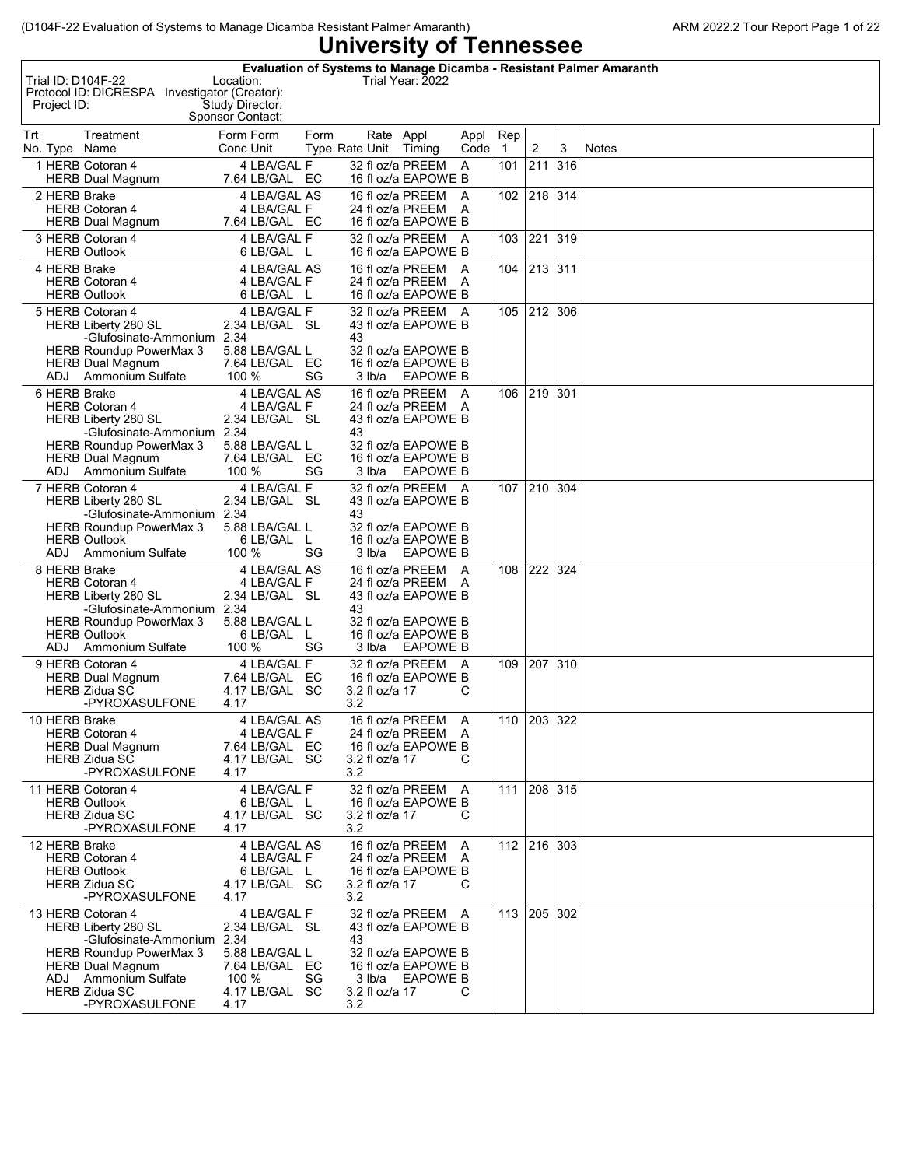| Trial ID: D104F-22<br>Project ID: | Protocol ID: DICRESPA Investigator (Creator):                                                                                                                                                                | Location:<br>Study Director:<br>Sponsor Contact:                                                     |      |                                    | Trial Year: 2022                                                                                                                 |              |                     |                |     | Evaluation of Systems to Manage Dicamba - Resistant Palmer Amaranth |
|-----------------------------------|--------------------------------------------------------------------------------------------------------------------------------------------------------------------------------------------------------------|------------------------------------------------------------------------------------------------------|------|------------------------------------|----------------------------------------------------------------------------------------------------------------------------------|--------------|---------------------|----------------|-----|---------------------------------------------------------------------|
| Trt<br>No. Type Name              | Treatment                                                                                                                                                                                                    | Form Form<br>Conc Unit                                                                               | Form | Rate Appl<br>Type Rate Unit Timing |                                                                                                                                  | Appl<br>Code | Rep<br>$\mathbf{1}$ | $\overline{2}$ | 3   | <b>Notes</b>                                                        |
|                                   | 1 HERB Cotoran 4<br><b>HERB Dual Magnum</b>                                                                                                                                                                  | 4 LBA/GAL F<br>7.64 LB/GAL EC                                                                        |      |                                    | 32 fl oz/a PREEM<br>16 fl oz/a EAPOWE B                                                                                          | A            | 101                 | 211            | 316 |                                                                     |
| 2 HERB Brake                      | <b>HERB Cotoran 4</b><br><b>HERB Dual Magnum</b>                                                                                                                                                             | 4 LBA/GAL AS<br>4 LBA/GAL F<br>7.64 LB/GAL EC                                                        |      |                                    | 16 fl oz/a PREEM A<br>24 fl oz/a PREEM A<br>16 fl oz/a EAPOWE B                                                                  |              | 102                 | 218 314        |     |                                                                     |
|                                   | 3 HERB Cotoran 4<br><b>HERB Outlook</b>                                                                                                                                                                      | 4 LBA/GAL F<br>6 LB/GAL L                                                                            |      |                                    | 32 fl oz/a PREEM A<br>16 fl oz/a EAPOWE B                                                                                        |              | 103                 | 221            | 319 |                                                                     |
| 4 HERB Brake                      | <b>HERB Cotoran 4</b><br><b>HERB Outlook</b>                                                                                                                                                                 | 4 LBA/GAL AS<br>4 LBA/GAL F<br>6 LB/GAL L                                                            |      |                                    | 16 fl oz/a PREEM A<br>24 fl oz/a PREEM A<br>16 fl oz/a EAPOWE B                                                                  |              | 104                 | 213 311        |     |                                                                     |
| ADJ.                              | 5 HERB Cotoran 4<br><b>HERB Liberty 280 SL</b><br>-Glufosinate-Ammonium 2.34<br><b>HERB Roundup PowerMax 3</b><br><b>HERB Dual Magnum</b><br>Ammonium Sulfate                                                | 4 LBA/GAL F<br>2.34 LB/GAL SL<br>5.88 LBA/GAL L<br>7.64 LB/GAL EC<br>100 %                           | SG   | 43<br>3 lb/a                       | 32 fl oz/a PREEM A<br>43 fl oz/a EAPOWE B<br>32 fl oz/a EAPOWE B<br>16 fl oz/a EAPOWE B<br><b>EAPOWE B</b>                       |              | 105                 | 212 306        |     |                                                                     |
| 6 HERB Brake<br>ADJ               | <b>HERB Cotoran 4</b><br><b>HERB Liberty 280 SL</b><br>-Glufosinate-Ammonium 2.34<br><b>HERB Roundup PowerMax 3</b><br><b>HERB Dual Magnum</b><br><b>Ammonium Sulfate</b>                                    | 4 LBA/GAL AS<br>4 LBA/GAL F<br>2.34 LB/GAL SL<br>5.88 LBA/GAL L<br>7.64 LB/GAL EC<br>100 %           | SG   | 43<br>3 lb/a                       | 16 fl oz/a PREEM A<br>24 fl oz/a PREEM A<br>43 fl oz/a EAPOWE B<br>32 fl oz/a EAPOWE B<br>16 fl oz/a EAPOWE B<br><b>EAPOWE B</b> |              | 106                 | 219            | 301 |                                                                     |
| ADJ.                              | 7 HERB Cotoran 4<br><b>HERB Liberty 280 SL</b><br>-Glufosinate-Ammonium 2.34<br><b>HERB Roundup PowerMax 3</b><br><b>HERB Outlook</b><br><b>Ammonium Sulfate</b>                                             | 4 LBA/GAL F<br>2.34 LB/GAL SL<br>5.88 LBA/GAL L<br>6 LB/GAL L<br>100 %                               | SG   | 43<br>3 lb/a                       | 32 fl oz/a PREEM A<br>43 fl oz/a EAPOWE B<br>32 fl oz/a EAPOWE B<br>16 fl oz/a EAPOWE B<br><b>EAPOWE B</b>                       |              | 107                 | 210 304        |     |                                                                     |
| 8 HERB Brake<br>ADJ               | <b>HERB Cotoran 4</b><br><b>HERB Liberty 280 SL</b><br>-Glufosinate-Ammonium 2.34<br><b>HERB Roundup PowerMax 3</b><br><b>HERB Outlook</b><br>Ammonium Sulfate                                               | 4 LBA/GAL AS<br>4 LBA/GAL F<br>2.34 LB/GAL SL<br>5.88 LBA/GAL L<br>6 LB/GAL L<br>100 %               | SG   | 43<br>3 Ib/a                       | 16 fl oz/a PREEM A<br>24 fl oz/a PREEM A<br>43 fl oz/a EAPOWE B<br>32 fl oz/a EAPOWE B<br>16 fl oz/a EAPOWE B<br>EAPOWE B        |              | 108                 | 222            | 324 |                                                                     |
|                                   | 9 HERB Cotoran 4<br><b>HERB Dual Magnum</b><br><b>HERB Zidua SC</b><br>-PYROXASULFONE                                                                                                                        | 4 LBA/GAL F<br>7.64 LB/GAL EC<br>4.17 LB/GAL SC<br>4.17                                              |      | 3.2 fl oz/a 17<br>3.2              | 32 fl oz/a PREEM A<br>16 fl oz/a EAPOWE B                                                                                        | С            | 109                 | 207            | 310 |                                                                     |
| 10 HERB Brake                     | <b>HERB Cotoran 4</b><br><b>HERB Dual Magnum</b><br><b>HERB Zidua SC</b><br>-PYROXASULFONE                                                                                                                   | 4 LBA/GAL AS<br>4 LBA/GAL F<br>7.64 LB/GAL EC<br>4.17 LB/GAL SC<br>4.17                              |      | 3.2 fl oz/a 17<br>3.2              | 16 fl oz/a PREEM A<br>24 fl oz/a PREEM A<br>16 fl oz/a EAPOWE B                                                                  | С            | 110 203 322         |                |     |                                                                     |
|                                   | 11 HERB Cotoran 4<br><b>HERB Outlook</b><br><b>HERB Zidua SC</b><br>-PYROXASULFONE                                                                                                                           | 4 LBA/GAL F<br>6 LB/GAL L<br>4.17 LB/GAL SC<br>4.17                                                  |      | 3.2 fl oz/a 17<br>3.2              | 32 fl oz/a PREEM A<br>16 fl oz/a EAPOWE B                                                                                        | C            | 111                 | 208 315        |     |                                                                     |
| 12 HERB Brake                     | <b>HERB Cotoran 4</b><br><b>HERB Outlook</b><br><b>HERB Zidua SC</b><br>-PYROXASULFONE                                                                                                                       | 4 LBA/GAL AS<br>4 LBA/GAL F<br>6 LB/GAL L<br>4.17 LB/GAL SC<br>4.17                                  |      | 3.2 fl oz/a 17<br>3.2              | 16 fl oz/a PREEM A<br>24 fl oz/a PREEM A<br>16 fl oz/a EAPOWE B                                                                  | C            | 112 216 303         |                |     |                                                                     |
|                                   | 13 HERB Cotoran 4<br><b>HERB Liberty 280 SL</b><br>-Glufosinate-Ammonium 2.34<br><b>HERB Roundup PowerMax 3</b><br><b>HERB Dual Magnum</b><br>ADJ Ammonium Sulfate<br><b>HERB Zidua SC</b><br>-PYROXASULFONE | 4 LBA/GAL F<br>2.34 LB/GAL SL<br>5.88 LBA/GAL L<br>7.64 LB/GAL EC<br>100 %<br>4.17 LB/GAL SC<br>4.17 | SG   | 43<br>3.2 fl oz/a 17<br>3.2        | 32 fl oz/a PREEM A<br>43 fl oz/a EAPOWE B<br>32 fl oz/a EAPOWE B<br>16 fl oz/a EAPOWE B<br>3 lb/a EAPOWE B                       | C            | 113 205 302         |                |     |                                                                     |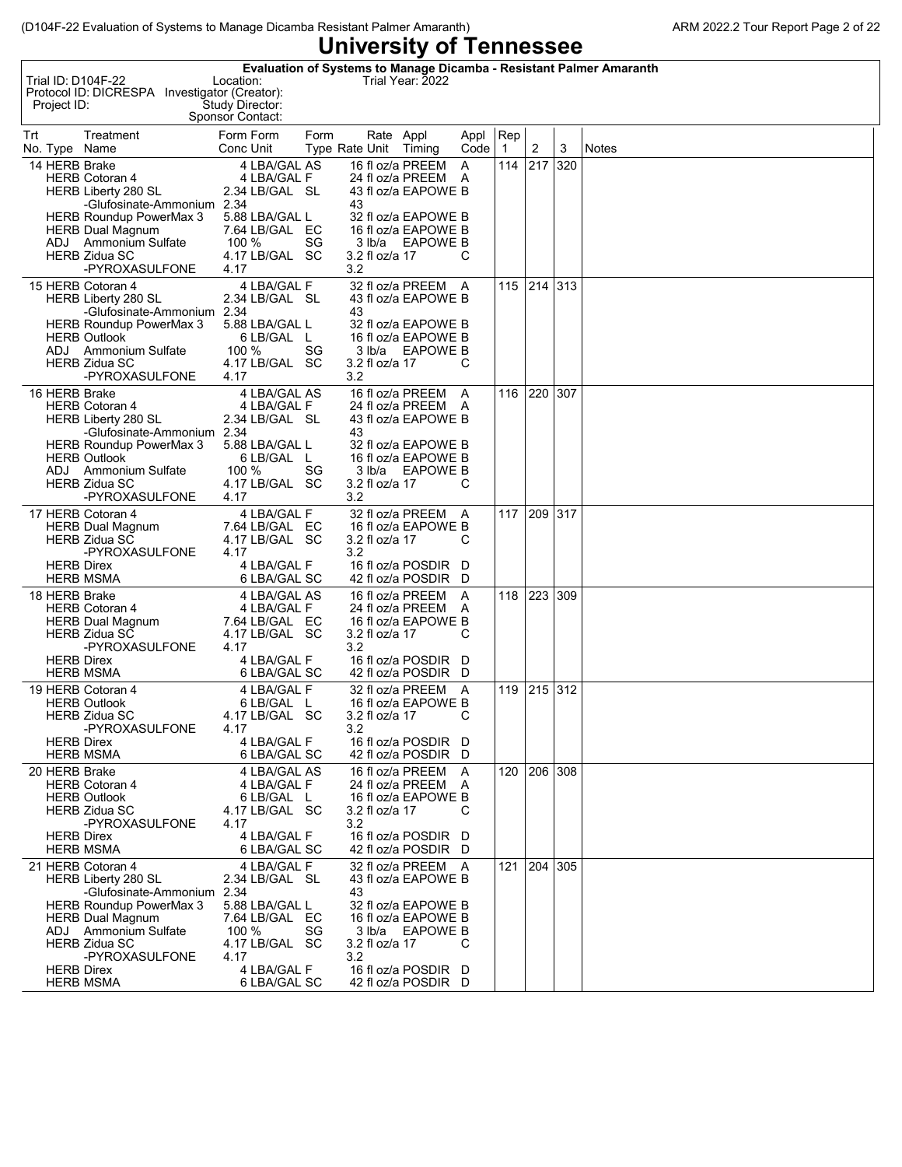| <b>OTTAGISILY OF LEITILESSEE</b>                                                                                                                                                                                                                      |                                                                                                                                           |                                       |                                                                                                                                                          |              |                       |         |     |              |  |  |  |
|-------------------------------------------------------------------------------------------------------------------------------------------------------------------------------------------------------------------------------------------------------|-------------------------------------------------------------------------------------------------------------------------------------------|---------------------------------------|----------------------------------------------------------------------------------------------------------------------------------------------------------|--------------|-----------------------|---------|-----|--------------|--|--|--|
| Trial ID: D104F-22<br>Protocol ID: DICRESPA Investigator (Creator):<br>Project ID:                                                                                                                                                                    | Evaluation of Systems to Manage Dicamba - Resistant Palmer Amaranth<br>Location:<br>Study Director:<br>Sponsor Contact:                   |                                       | Trial Year: 2022                                                                                                                                         |              |                       |         |     |              |  |  |  |
| Trt<br>Treatment<br>No. Type Name                                                                                                                                                                                                                     | Form Form<br>Form<br>Conc Unit                                                                                                            | Type Rate Unit                        | Rate Appl<br>Timing                                                                                                                                      | Appl<br>Code | Rep<br>$\overline{1}$ | 2       | 3   | <b>Notes</b> |  |  |  |
| 14 HERB Brake<br><b>HERB Cotoran 4</b><br>HERB Liberty 280 SL<br>-Glufosinate-Ammonium 2.34<br><b>HERB Roundup PowerMax 3</b><br><b>HERB Dual Magnum</b><br>ADJ Ammonium Sulfate<br><b>HERB Zidua SC</b><br>-PYROXASULFONE                            | 4 LBA/GAL AS<br>4 LBA/GAL F<br>2.34 LB/GAL SL<br>5.88 LBA/GAL L<br>7.64 LB/GAL EC<br>100 %<br>SG<br>4.17 LB/GAL SC<br>4.17                | 43<br>3 lb/a<br>3.2 fl oz/a 17<br>3.2 | 16 fl oz/a PREEM<br>24 fl oz/a PREEM A<br>43 fl oz/a EAPOWE B<br>32 fl oz/a EAPOWE B<br>16 fl oz/a EAPOWE B<br>EAPOWE B                                  | A<br>С       | 114                   | 217     | 320 |              |  |  |  |
| 15 HERB Cotoran 4<br>HERB Liberty 280 SL<br>-Glufosinate-Ammonium 2.34<br>HERB Roundup PowerMax 3<br><b>HERB Outlook</b><br>ADJ Ammonium Sulfate<br><b>HERB Zidua SC</b><br>-PYROXASULFONE                                                            | 4 LBA/GAL F<br>2.34 LB/GAL SL<br>5.88 LBA/GAL L<br>6 LB/GAL L<br>100 %<br>SG.<br>4.17 LB/GAL SC<br>4.17                                   | 43<br>3 lb/a<br>3.2 fl oz/a 17<br>3.2 | 32 fl oz/a PREEM A<br>43 fl oz/a EAPOWE B<br>32 fl oz/a EAPOWE B<br>16 fl oz/a EAPOWE B<br>EAPOWE B                                                      | С            | 115                   | 214 313 |     |              |  |  |  |
| 16 HERB Brake<br><b>HERB Cotoran 4</b><br><b>HERB Liberty 280 SL</b><br>-Glufosinate-Ammonium 2.34<br><b>HERB Roundup PowerMax 3</b><br><b>HERB Outlook</b><br>ADJ Ammonium Sulfate<br><b>HERB Zidua SC</b><br>-PYROXASULFONE                         | 4 LBA/GAL AS<br>4 LBA/GAL F<br>2.34 LB/GAL SL<br>5.88 LBA/GAL L<br>6 LB/GAL L<br>100 %<br>SG<br>4.17 LB/GAL SC<br>4.17                    | 43<br>3.2 fl oz/a 17<br>3.2           | 16 fl oz/a PREEM<br>24 fl oz/a PREEM A<br>43 fl oz/a EAPOWE B<br>32 fl oz/a EAPOWE B<br>16 fl oz/a EAPOWE B<br>3 lb/a EAPOWE B                           | A<br>C       | 116                   | 220 307 |     |              |  |  |  |
| 17 HERB Cotoran 4<br><b>HERB Dual Magnum</b><br><b>HERB Zidua SC</b><br>-PYROXASULFONE<br><b>HERB Direx</b><br><b>HERB MSMA</b>                                                                                                                       | 4 LBA/GAL F<br>7.64 LB/GAL EC<br>4.17 LB/GAL SC<br>4.17<br>4 LBA/GAL F<br>6 LBA/GAL SC                                                    | 3.2 fl oz/a 17<br>3.2                 | 32 fl oz/a PREEM A<br>16 fl oz/a EAPOWE B<br>16 fl oz/a POSDIR D<br>42 fl oz/a POSDIR D                                                                  | С            | 117                   | 209 317 |     |              |  |  |  |
| 18 HERB Brake<br><b>HERB Cotoran 4</b><br><b>HERB Dual Magnum</b><br><b>HERB Zidua SC</b><br>-PYROXASULFONE<br><b>HERB Direx</b><br><b>HERB MSMA</b>                                                                                                  | 4 LBA/GAL AS<br>4 LBA/GAL F<br>7.64 LB/GAL EC<br>4.17 LB/GAL SC<br>4.17<br>4 LBA/GAL F<br>6 LBA/GAL SC                                    | 3.2 fl oz/a 17<br>3.2                 | 16 fl oz/a PREEM<br>24 fl oz/a PREEM A<br>16 fl oz/a EAPOWE B<br>16 fl oz/a POSDIR D<br>42 fl oz/a POSDIR D                                              | A<br>С       | 118                   | 223 309 |     |              |  |  |  |
| 19 HERB Cotoran 4<br><b>HERB Outlook</b><br><b>HERB Zidua SC</b><br>-PYROXASULFONE<br><b>HERB Direx</b><br><b>HERB MSMA</b>                                                                                                                           | 4 LBA/GAL F<br>6 LB/GAL L<br>4.17 LB/GAL SC<br>4.17<br>4 LBA/GAL F<br>6 LBA/GAL SC                                                        | 3.2 fl oz/a 17<br>3.2                 | 32 fl oz/a PREEM A<br>16 fl oz/a EAPOWE B<br>16 fl oz/a POSDIR D<br>42 fl oz/a POSDIR D                                                                  | С            | 119                   | 215 312 |     |              |  |  |  |
| 20 HERB Brake<br><b>HERB Cotoran 4</b><br><b>HERB Outlook</b><br><b>HERB Zidua SC</b><br>-PYROXASULFONE<br><b>HERB Direx</b><br><b>HERB MSMA</b>                                                                                                      | 4 LBA/GAL AS<br>4 LBA/GAL F<br>6 LB/GAL L<br>4.17 LB/GAL SC<br>4.17<br>4 LBA/GAL F<br>6 LBA/GAL SC                                        | 3.2 fl oz/a 17<br>3.2                 | 16 fl oz/a PREEM<br>24 fl oz/a PREEM A<br>16 fl oz/a EAPOWE B<br>16 fl oz/a POSDIR D<br>42 fl oz/a POSDIR D                                              | A<br>С       | 120                   | 206 308 |     |              |  |  |  |
| 21 HERB Cotoran 4<br><b>HERB Liberty 280 SL</b><br>-Glufosinate-Ammonium 2.34<br><b>HERB Roundup PowerMax 3</b><br><b>HERB Dual Magnum</b><br>ADJ Ammonium Sulfate<br><b>HERB Zidua SC</b><br>-PYROXASULFONE<br><b>HERB Direx</b><br><b>HERB MSMA</b> | 4 LBA/GAL F<br>2.34 LB/GAL SL<br>5.88 LBA/GAL L<br>7.64 LB/GAL EC<br>100 %<br>SG<br>4.17 LB/GAL SC<br>4.17<br>4 LBA/GAL F<br>6 LBA/GAL SC | 43<br>3.2 fl oz/a 17<br>3.2           | 32 fl oz/a PREEM A<br>43 fl oz/a EAPOWE B<br>32 fl oz/a EAPOWE B<br>16 fl oz/a EAPOWE B<br>3 lb/a EAPOWE B<br>16 fl oz/a POSDIR D<br>42 fl oz/a POSDIR D | С            | 121                   | 204 305 |     |              |  |  |  |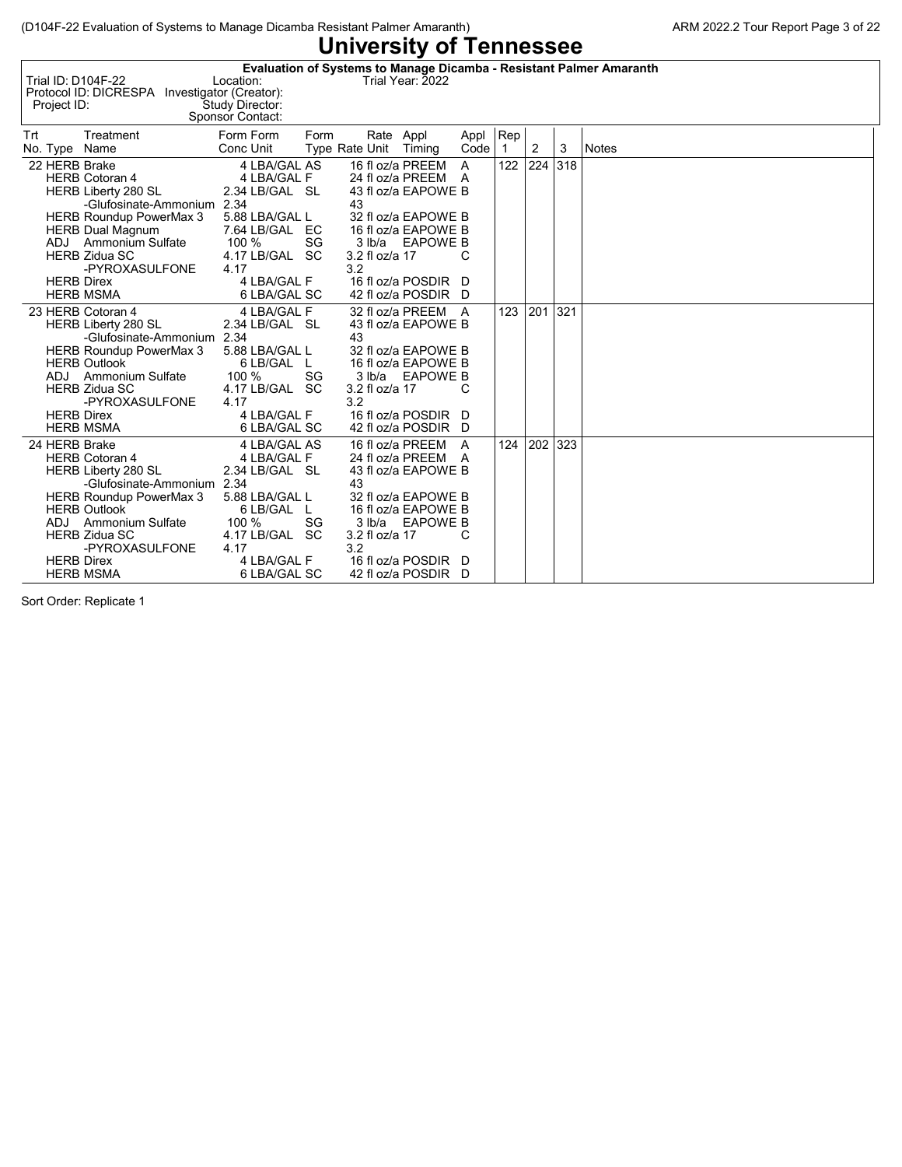| Trial ID: D104F-22<br>Protocol ID: DICRESPA<br>Project ID:                                                                                                                                                                                                                       | Location:<br>Investigator (Creator):<br>Study Director:<br>Sponsor Contact:                                                                         |      |                                                 | Trial Year: 2022                                                                                                                                                      |                     |                     |                |     | Evaluation of Systems to Manage Dicamba - Resistant Palmer Amaranth |
|----------------------------------------------------------------------------------------------------------------------------------------------------------------------------------------------------------------------------------------------------------------------------------|-----------------------------------------------------------------------------------------------------------------------------------------------------|------|-------------------------------------------------|-----------------------------------------------------------------------------------------------------------------------------------------------------------------------|---------------------|---------------------|----------------|-----|---------------------------------------------------------------------|
| Trt<br>Treatment<br>No. Type Name                                                                                                                                                                                                                                                | Form Form<br>Conc Unit                                                                                                                              | Form | Rate Appl<br>Type Rate Unit Timing              |                                                                                                                                                                       | Appl<br>Code        | Rep<br>$\mathbf{1}$ | $\overline{2}$ | 3   | <b>Notes</b>                                                        |
| 22 HERB Brake<br><b>HERB Cotoran 4</b><br><b>HERB Liberty 280 SL</b><br>-Glufosinate-Ammonium 2.34<br><b>HERB Roundup PowerMax 3</b><br><b>HERB Dual Magnum</b><br>ADJ Ammonium Sulfate<br><b>HERB Zidua SC</b><br>-PYROXASULFONE<br><b>HERB Direx</b><br><b>HERB MSMA</b>       | 4 LBA/GAL AS<br>4 LBA/GAL F<br>2.34 LB/GAL SL<br>5.88 LBA/GAL L<br>7.64 LB/GAL EC<br>100 %<br>4.17 LB/GAL SC<br>4.17<br>4 LBA/GAL F<br>6 LBA/GAL SC | SG   | 16 fl oz/a PREEM<br>43<br>3.2 fl oz/a 17<br>3.2 | 24 fl oz/a PREEM A<br>43 fl oz/a EAPOWE B<br>32 fl oz/a EAPOWE B<br>16 fl oz/a EAPOWE B<br>3 lb/a EAPOWE B<br>16 fl oz/a POSDIR D<br>42 fl oz/a POSDIR D              | $\overline{A}$<br>С | 122                 | 224            | 318 |                                                                     |
| 23 HERB Cotoran 4<br><b>HERB Liberty 280 SL</b><br>-Glufosinate-Ammonium 2.34<br>HERB Roundup PowerMax 3<br><b>HERB Outlook</b><br>ADJ Ammonium Sulfate<br><b>HERB Zidua SC</b><br>-PYROXASULFONE<br><b>HERB Direx</b><br><b>HERB MSMA</b>                                       | 4 LBA/GAL F<br>2.34 LB/GAL SL<br>5.88 LBA/GAL L<br>6 LB/GAL L<br>100 %<br>4.17 LB/GAL SC<br>4.17<br>4 LBA/GAL F<br>6 LBA/GAL SC                     | SG   | 43<br>3.2 fl oz/a 17<br>3.2                     | 32 fl oz/a PREEM A<br>43 fl oz/a EAPOWE B<br>32 fl oz/a EAPOWE B<br>16 fl oz/a EAPOWE B<br>3 lb/a EAPOWE B<br>16 fl oz/a POSDIR D<br>42 fl oz/a POSDIR D              | С                   | 123                 | 201            | 321 |                                                                     |
| 24 HERB Brake<br><b>HERB Cotoran 4</b><br><b>HERB Liberty 280 SL</b><br>-Glufosinate-Ammonium 2.34<br><b>HERB Roundup PowerMax 3</b><br><b>HERB Outlook</b><br><b>Ammonium Sulfate</b><br>ADJ<br><b>HERB Zidua SC</b><br>-PYROXASULFONE<br><b>HERB Direx</b><br><b>HERB MSMA</b> | 4 LBA/GAL AS<br>4 LBA/GAL F<br>2.34 LB/GAL SL<br>5.88 LBA/GAL L<br>6 LB/GAL L<br>100 %<br>4.17 LB/GAL SC<br>4.17<br>4 LBA/GAL F<br>6 LBA/GAL SC     | SG   | 43<br>3 lb/a<br>3.2 fl oz/a 17<br>3.2           | 16 fl oz/a PREEM<br>24 fl oz/a PREEM A<br>43 fl oz/a EAPOWE B<br>32 fl oz/a EAPOWE B<br>16 fl oz/a EAPOWE B<br>EAPOWE B<br>16 fl oz/a POSDIR D<br>42 fl oz/a POSDIR D | A<br>C              | 124                 | 202            | 323 |                                                                     |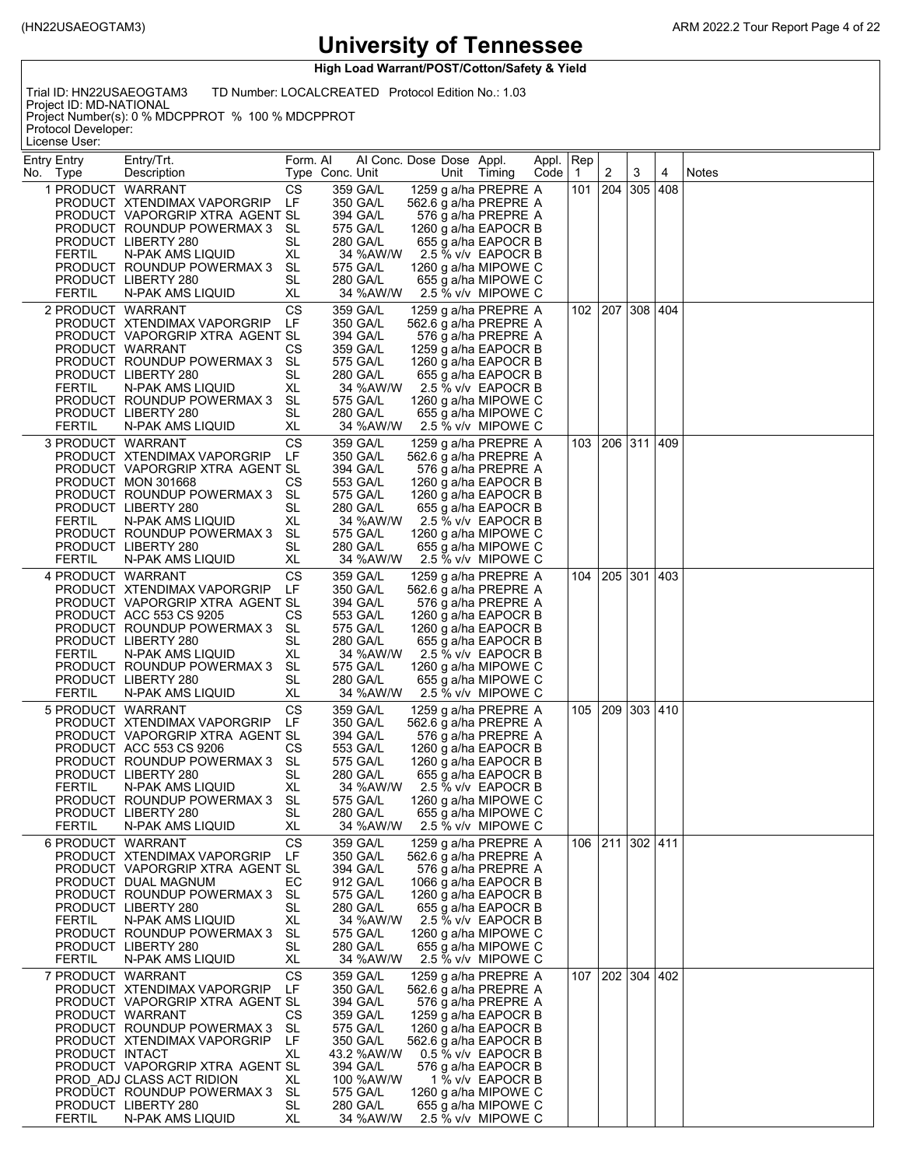**High Load Warrant/POST/Cotton/Safety & Yield**

Trial ID: HN22USAEOGTAM3 TD Number: LOCALCREATED Protocol Edition No.: 1.03

Project ID: MD-NATIONAL Project Number(s): 0 % MDCPPROT % 100 % MDCPPROT Protocol Developer:

License User:

| Entry Entry<br>No. Type | Entry/Trt.<br>Description                                      | Form. Al        | Type Conc. Unit      | Al Conc. Dose Dose Appl.<br>Unit              | Timing                                    | Appl. Rep<br>Code | $\mathbf{1}$ | 2               | 3        | 4   | Notes |
|-------------------------|----------------------------------------------------------------|-----------------|----------------------|-----------------------------------------------|-------------------------------------------|-------------------|--------------|-----------------|----------|-----|-------|
| 1 PRODUCT WARRANT       |                                                                | CS              | 359 GA/L             | 1259 g a/ha PREPRE A                          |                                           |                   | 101          | 204             | 305      | 408 |       |
|                         | PRODUCT XTENDIMAX VAPORGRIP                                    | LF              | 350 GA/L             | 562.6 g a/ha PREPRE A                         |                                           |                   |              |                 |          |     |       |
|                         | PRODUCT VAPORGRIP XTRA AGENT SL                                |                 | 394 GA/L             |                                               | 576 g a/ha PREPRE A                       |                   |              |                 |          |     |       |
|                         | PRODUCT ROUNDUP POWERMAX 3                                     | - SL            | 575 GA/L             | 1260 g a/ha EAPOCR B                          |                                           |                   |              |                 |          |     |       |
|                         | PRODUCT LIBERTY 280                                            | SL              | 280 GA/L             |                                               | 655 g a/ha EAPOCR B                       |                   |              |                 |          |     |       |
| FERTIL                  | N-PAK AMS LIQUID<br>PRODUCT ROUNDUP POWERMAX 3                 | XL<br>SL        | 34 %AW/W<br>575 GA/L | 1260 g a/ha MIPOWE C                          | 2.5 % v/v EAPOCR B                        |                   |              |                 |          |     |       |
|                         | PRODUCT LIBERTY 280                                            | SL              | 280 GA/L             |                                               | 655 g a/ha MIPOWE C                       |                   |              |                 |          |     |       |
| <b>FERTIL</b>           | N-PAK AMS LIQUID                                               | XL              | 34 %AW/W             |                                               | 2.5 % v/v MIPOWE C                        |                   |              |                 |          |     |       |
| 2 PRODUCT WARRANT       |                                                                | CS              | 359 GA/L             | 1259 g a/ha PREPRE A                          |                                           |                   | 102          | 207             | 308  404 |     |       |
|                         | PRODUCT XTENDIMAX VAPORGRIP                                    | LF              | 350 GA/L             | 562.6 g a/ha PREPRE A                         |                                           |                   |              |                 |          |     |       |
|                         | PRODUCT VAPORGRIP XTRA AGENT SL                                |                 | 394 GA/L             |                                               | 576 g a/ha PREPRE A                       |                   |              |                 |          |     |       |
|                         | PRODUCT WARRANT                                                | СS              | 359 GA/L             | 1259 g a/ha EAPOCR B                          |                                           |                   |              |                 |          |     |       |
|                         | PRODUCT ROUNDUP POWERMAX 3                                     | SL              | 575 GA/L             | 1260 g a/ha EAPOCR B                          |                                           |                   |              |                 |          |     |       |
|                         | PRODUCT LIBERTY 280                                            | SL              | 280 GA/L             |                                               | 655 g a/ha EAPOCR B                       |                   |              |                 |          |     |       |
| <b>FERTIL</b>           | N-PAK AMS LIQUID<br>PRODUCT ROUNDUP POWERMAX 3                 | XL<br>SL        | 34 %AW/W<br>575 GA/L | 1260 g a/ha MIPOWE C                          | 2.5 % v/v EAPOCR B                        |                   |              |                 |          |     |       |
|                         | PRODUCT LIBERTY 280                                            | SL              | 280 GA/L             |                                               | 655 g a/ha MIPOWE C                       |                   |              |                 |          |     |       |
| <b>FERTIL</b>           | N-PAK AMS LIQUID                                               | XL              | 34 %AW/W             |                                               | 2.5 % v/v MIPOWE C                        |                   |              |                 |          |     |       |
| 3 PRODUCT WARRANT       |                                                                | CS              | 359 GA/L             | 1259 g a/ha PREPRE A                          |                                           |                   | 103 -        | 206   311   409 |          |     |       |
|                         | PRODUCT XTENDIMAX VAPORGRIP                                    | LF              | 350 GA/L             | 562.6 g a/ha PREPRE A                         |                                           |                   |              |                 |          |     |       |
|                         | PRODUCT VAPORGRIP XTRA AGENT SL                                |                 | 394 GA/L             |                                               | 576 g a/ha PREPRE A                       |                   |              |                 |          |     |       |
|                         | PRODUCT MON 301668                                             | СS              | 553 GA/L             | 1260 g a/ha EAPOCR B                          |                                           |                   |              |                 |          |     |       |
|                         | PRODUCT ROUNDUP POWERMAX 3                                     | SL              | 575 GA/L             | 1260 g a/ha EAPOCR B                          |                                           |                   |              |                 |          |     |       |
| FERTIL                  | PRODUCT LIBERTY 280<br>N-PAK AMS LIQUID                        | SL<br>XL        | 280 GA/L<br>34 %AW/W |                                               | 655 g a/ha EAPOCR B<br>2.5 % v/v EAPOCR B |                   |              |                 |          |     |       |
|                         | PRODUCT ROUNDUP POWERMAX 3                                     | SL.             | 575 GA/L             | 1260 g a/ha MIPOWE C                          |                                           |                   |              |                 |          |     |       |
|                         | PRODUCT LIBERTY 280                                            | SL              | 280 GA/L             |                                               | 655 g a/ha MIPOWE C                       |                   |              |                 |          |     |       |
| <b>FERTIL</b>           | N-PAK AMS LIQUID                                               | XL              | 34 %AW/W             |                                               | 2.5 % v/v MIPOWE C                        |                   |              |                 |          |     |       |
| 4 PRODUCT WARRANT       |                                                                | СS              | 359 GA/L             | 1259 g a/ha PREPRE A                          |                                           |                   | 104          | 205             | 301 403  |     |       |
|                         | PRODUCT XTENDIMAX VAPORGRIP                                    | LF              | 350 GA/L             | 562.6 g a/ha PREPRE A                         |                                           |                   |              |                 |          |     |       |
|                         | PRODUCT VAPORGRIP XTRA AGENT SL                                |                 | 394 GA/L             |                                               | 576 g a/ha PREPRE A                       |                   |              |                 |          |     |       |
|                         | PRODUCT ACC 553 CS 9205<br>PRODUCT ROUNDUP POWERMAX 3          | СS<br>SL        | 553 GA/L<br>575 GA/L | 1260 g a/ha EAPOCR B                          |                                           |                   |              |                 |          |     |       |
|                         | PRODUCT LIBERTY 280                                            | SL              | 280 GA/L             | 1260 g a/ha EAPOCR B                          | 655 g a/ha EAPOCR B                       |                   |              |                 |          |     |       |
| <b>FERTIL</b>           | N-PAK AMS LIQUID                                               | XL              | 34 %AW/W             |                                               | 2.5 % v/v EAPOCR B                        |                   |              |                 |          |     |       |
|                         | PRODUCT ROUNDUP POWERMAX 3                                     | SL              | 575 GA/L             | 1260 g a/ha MIPOWE C                          |                                           |                   |              |                 |          |     |       |
|                         | PRODUCT LIBERTY 280                                            | SL              | 280 GA/L             |                                               | 655 g a/ha MIPOWE C                       |                   |              |                 |          |     |       |
| <b>FERTIL</b>           | N-PAK AMS LIQUID                                               | XL              | 34 %AW/W             |                                               | 2.5 % v/v MIPOWE C                        |                   |              |                 |          |     |       |
| 5 PRODUCT WARRANT       |                                                                | CS              | 359 GA/L             | 1259 g a/ha PREPRE A                          |                                           |                   | 105          | 209             | 303 410  |     |       |
|                         | PRODUCT XTENDIMAX VAPORGRIP<br>PRODUCT VAPORGRIP XTRA AGENT SL | LF              | 350 GA/L<br>394 GA/L | 562.6 g a/ha PREPRE A                         |                                           |                   |              |                 |          |     |       |
|                         | PRODUCT ACC 553 CS 9206                                        | СS              | 553 GA/L             | 1260 g a/ha EAPOCR B                          | 576 g a/ha PREPRE A                       |                   |              |                 |          |     |       |
|                         | PRODUCT ROUNDUP POWERMAX 3                                     | SL              | 575 GA/L             | 1260 g a/ha EAPOCR B                          |                                           |                   |              |                 |          |     |       |
|                         | PRODUCT LIBERTY 280                                            | SL              | 280 GA/L             |                                               | 655 g a/ha EAPOCR B                       |                   |              |                 |          |     |       |
| FERTIL                  | N-PAK AMS LIQUID                                               | XL              | 34 %AW/W             |                                               | 2.5 % v/v EAPOCR B                        |                   |              |                 |          |     |       |
|                         | PRODUCT ROUNDUP POWERMAX 3 SL                                  |                 | 575 GA/L             | 1260 g a/ha MIPOWE C                          |                                           |                   |              |                 |          |     |       |
| FERTIL                  | PRODUCT LIBERTY 280<br>N-PAK AMS LIQUID                        | <b>SL</b><br>XL | 280 GA/L<br>34 %AW/W |                                               | 655 g a/ha MIPOWE C<br>2.5 % v/v MIPOWE C |                   |              |                 |          |     |       |
| 6 PRODUCT WARRANT       |                                                                | CS              | 359 GA/L             | 1259 g a/ha PREPRE A                          |                                           |                   |              | 106 211 302 411 |          |     |       |
|                         | PRODUCT XTENDIMAX VAPORGRIP                                    | LF              | 350 GA/L             | 562.6 g a/ha PREPRE A                         |                                           |                   |              |                 |          |     |       |
|                         | PRODUCT VAPORGRIP XTRA AGENT SL                                |                 | 394 GA/L             |                                               | 576 g a/ha PREPRE A                       |                   |              |                 |          |     |       |
|                         | PRODUCT DUAL MAGNUM                                            | EС              | 912 GA/L             | 1066 g a/ha EAPOCR B                          |                                           |                   |              |                 |          |     |       |
|                         | PRODUCT ROUNDUP POWERMAX 3                                     | SL              | 575 GA/L             | 1260 g a/ha EAPOCR B                          |                                           |                   |              |                 |          |     |       |
|                         | PRODUCT LIBERTY 280                                            | SL              | 280 GA/L             |                                               | 655 g a/ha EAPOCR B                       |                   |              |                 |          |     |       |
| <b>FERTIL</b>           | N-PAK AMS LIQUID<br>PRODUCT ROUNDUP POWERMAX 3                 | XL<br>SL        | 34 %AW/W<br>575 GA/L | 1260 g a/ha MIPOWE C                          | 2.5 % v/v EAPOCR B                        |                   |              |                 |          |     |       |
|                         | PRODUCT LIBERTY 280                                            | SL              | 280 GA/L             |                                               | 655 g a/ha MIPOWE C                       |                   |              |                 |          |     |       |
| <b>FERTIL</b>           | N-PAK AMS LIQUID                                               | XL              | 34 %AW/W             |                                               | 2.5 % v/v MIPOWE C                        |                   |              |                 |          |     |       |
| 7 PRODUCT WARRANT       |                                                                | CS              | 359 GA/L             | 1259 g a/ha PREPRE A                          |                                           |                   | 107          | 202   304       |          | 402 |       |
|                         | PRODUCT XTENDIMAX VAPORGRIP                                    | LF              | 350 GA/L             | 562.6 g a/ha PREPRE A                         |                                           |                   |              |                 |          |     |       |
|                         | PRODUCT VAPORGRIP XTRA AGENT SL                                |                 | 394 GA/L             |                                               | 576 g a/ha PREPRE A                       |                   |              |                 |          |     |       |
|                         | PRODUCT WARRANT                                                | СS<br>SL        | 359 GA/L<br>575 GA/L | 1259 g a/ha EAPOCR B                          |                                           |                   |              |                 |          |     |       |
|                         | PRODUCT ROUNDUP POWERMAX 3<br>PRODUCT XTENDIMAX VAPORGRIP      | LF              | 350 GA/L             | 1260 g a/ha EAPOCR B<br>562.6 g a/ha EAPOCR B |                                           |                   |              |                 |          |     |       |
| PRODUCT INTACT          |                                                                | XL              | 43.2 %AW/W           |                                               | 0.5 % v/v EAPOCR B                        |                   |              |                 |          |     |       |
|                         | PRODUCT VAPORGRIP XTRA AGENT SL                                |                 | 394 GA/L             |                                               | 576 g a/ha EAPOCR B                       |                   |              |                 |          |     |       |
|                         | PROD ADJ CLASS ACT RIDION                                      | XL              | 100 %AW/W            |                                               | 1 % v/v EAPOCR B                          |                   |              |                 |          |     |       |
|                         | PRODUCT ROUNDUP POWERMAX 3                                     | SL              | 575 GA/L             | 1260 g a/ha MIPOWE C                          |                                           |                   |              |                 |          |     |       |
| <b>FERTIL</b>           | PRODUCT LIBERTY 280<br>N-PAK AMS LIQUID                        | SL<br>XL        | 280 GA/L<br>34 %AW/W |                                               | 655 g a/ha MIPOWE C<br>2.5 % v/v MIPOWE C |                   |              |                 |          |     |       |
|                         |                                                                |                 |                      |                                               |                                           |                   |              |                 |          |     |       |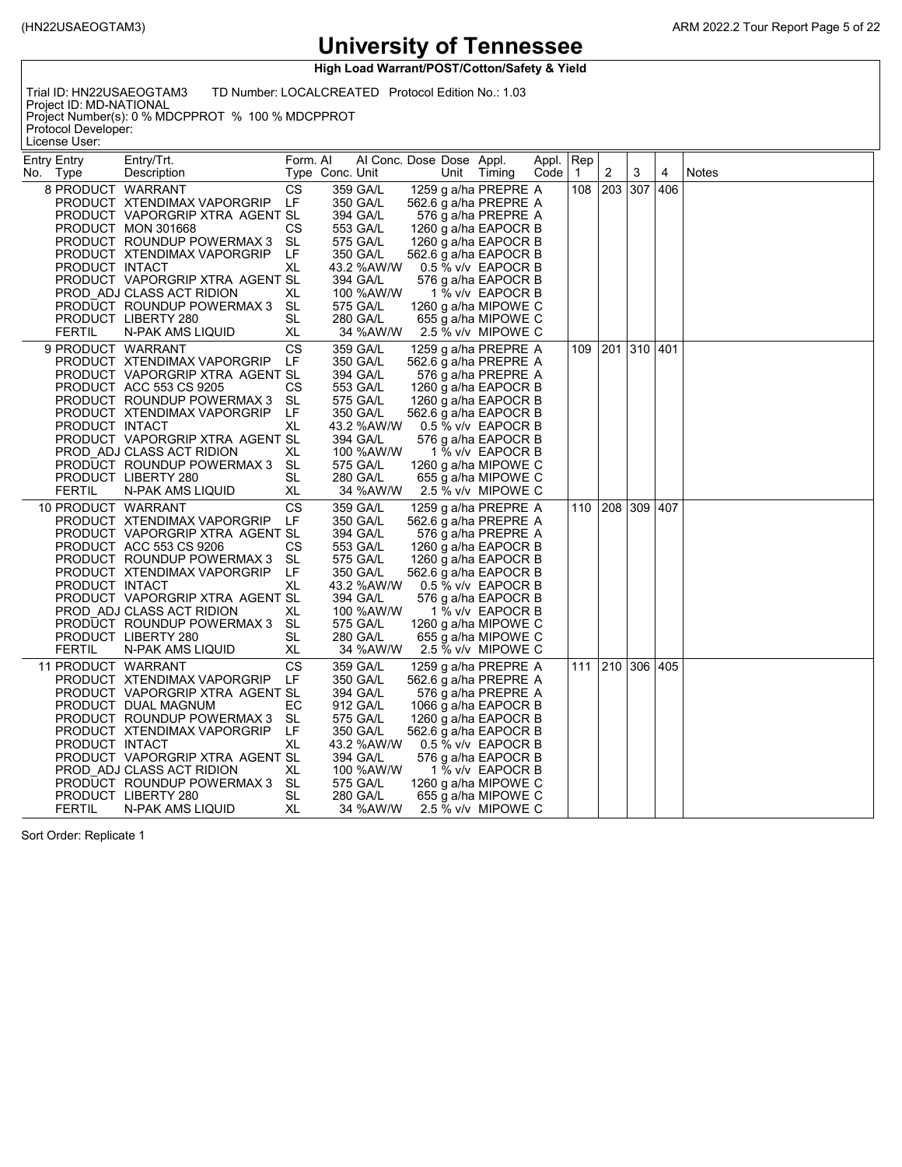**High Load Warrant/POST/Cotton/Safety & Yield**

Trial ID: HN22USAEOGTAM3 TD Number: LOCALCREATED Protocol Edition No.: 1.03

Project ID: MD-NATIONAL Project Number(s): 0 % MDCPPROT % 100 % MDCPPROT Protocol Developer:

License User:

| Entry Entry                                           | Entry/Trt.                                                                                                                                                                                                                                                                                      | Form. Al                                                               |                 | Al Conc. Dose Dose Appl.                                                                                                                        |      |                                                                                                                                                                                                                                                                                     | Appl. | ∣Rep         |                 |         |   |       |
|-------------------------------------------------------|-------------------------------------------------------------------------------------------------------------------------------------------------------------------------------------------------------------------------------------------------------------------------------------------------|------------------------------------------------------------------------|-----------------|-------------------------------------------------------------------------------------------------------------------------------------------------|------|-------------------------------------------------------------------------------------------------------------------------------------------------------------------------------------------------------------------------------------------------------------------------------------|-------|--------------|-----------------|---------|---|-------|
| No. Type                                              | Description                                                                                                                                                                                                                                                                                     |                                                                        | Type Conc. Unit |                                                                                                                                                 | Unit | Timing                                                                                                                                                                                                                                                                              | Code  | $\mathbf{1}$ | 2               | 3       | 4 | Notes |
| 8 PRODUCT WARRANT<br>PRODUCT INTACT<br><b>FERTIL</b>  | PRODUCT XTENDIMAX VAPORGRIP<br>PRODUCT VAPORGRIP XTRA AGENT SL<br>PRODUCT MON 301668<br>PRODUCT ROUNDUP POWERMAX 3<br>PRODUCT XTENDIMAX VAPORGRIP<br>PRODUCT VAPORGRIP XTRA AGENT SL<br>PROD ADJ CLASS ACT RIDION<br>PRODUCT ROUNDUP POWERMAX 3<br>PRODUCT LIBERTY 280<br>N-PAK AMS LIQUID      | CS<br>LF<br>СS<br><b>SL</b><br>LF<br>XL<br>XL<br>SL<br>SL<br>XL        |                 | 359 GA/L<br>350 GA/L<br>394 GA/L<br>553 GA/L<br>575 GA/L<br>350 GA/L<br>43.2 %AW/W<br>394 GA/L<br>100 %AW/W<br>575 GA/L<br>280 GA/L<br>34 %AW/W |      | 1259 g a/ha PREPRE A<br>562.6 g a/ha PREPRE A<br>576 g a/ha PREPRE A<br>1260 g a/ha EAPOCR B<br>1260 g a/ha EAPOCR B<br>562.6 g a/ha EAPOCR B<br>0.5 % v/v EAPOCR B<br>576 g a/ha EAPOCR B<br>1 % v/v EAPOCR B<br>1260 g a/ha MIPOWE C<br>655 g a/ha MIPOWE C<br>2.5 % v/v MIPOWE C |       | 108          | 203             | 307 406 |   |       |
| 9 PRODUCT WARRANT<br>PRODUCT INTACT<br><b>FERTIL</b>  | PRODUCT XTENDIMAX VAPORGRIP<br>PRODUCT VAPORGRIP XTRA AGENT SL<br>PRODUCT ACC 553 CS 9205<br>PRODUCT ROUNDUP POWERMAX 3<br>PRODUCT XTENDIMAX VAPORGRIP<br>PRODUCT VAPORGRIP XTRA AGENT SL<br>PROD ADJ CLASS ACT RIDION<br>PRODUCT ROUNDUP POWERMAX 3<br>PRODUCT LIBERTY 280<br>N-PAK AMS LIQUID | <b>CS</b><br>LF<br>СS<br>SL<br>LF<br>XL<br>XL<br>SL<br>SL<br>XL        |                 | 359 GA/L<br>350 GA/L<br>394 GA/L<br>553 GA/L<br>575 GA/L<br>350 GA/L<br>43.2 %AW/W<br>394 GA/L<br>100 %AW/W<br>575 GA/L<br>280 GA/L<br>34 %AW/W |      | 1259 g a/ha PREPRE A<br>562.6 g a/ha PREPRE A<br>576 g a/ha PREPRE A<br>1260 g a/ha EAPOCR B<br>1260 g a/ha EAPOCR B<br>562.6 g a/ha EAPOCR B<br>0.5 % v/v EAPOCR B<br>576 g a/ha EAPOCR B<br>1 % v/v EAPOCR B<br>1260 g a/ha MIPOWE C<br>655 g a/ha MIPOWE C<br>2.5 % v/v MIPOWE C |       | 109          | 201 310 401     |         |   |       |
| 10 PRODUCT WARRANT<br>PRODUCT INTACT<br><b>FERTIL</b> | PRODUCT XTENDIMAX VAPORGRIP<br>PRODUCT VAPORGRIP XTRA AGENT SL<br>PRODUCT ACC 553 CS 9206<br>PRODUCT ROUNDUP POWERMAX 3<br>PRODUCT XTENDIMAX VAPORGRIP<br>PRODUCT VAPORGRIP XTRA AGENT SL<br>PROD ADJ CLASS ACT RIDION<br>PRODUCT ROUNDUP POWERMAX 3<br>PRODUCT LIBERTY 280<br>N-PAK AMS LIQUID | <b>CS</b><br>LF<br>СS<br>SL<br>LF<br>XL<br>XL<br>SL<br><b>SL</b><br>XL |                 | 359 GA/L<br>350 GA/L<br>394 GA/L<br>553 GA/L<br>575 GA/L<br>350 GA/L<br>43.2 %AW/W<br>394 GA/L<br>100 %AW/W<br>575 GA/L<br>280 GA/L<br>34 %AW/W |      | 1259 g a/ha PREPRE A<br>562.6 g a/ha PREPRE A<br>576 g a/ha PREPRE A<br>1260 g a/ha EAPOCR B<br>1260 g a/ha EAPOCR B<br>562.6 g a/ha EAPOCR B<br>0.5 % v/v EAPOCR B<br>576 g a/ha EAPOCR B<br>1 % v/v EAPOCR B<br>1260 g a/ha MIPOWE C<br>655 g a/ha MIPOWE C<br>2.5 % v/v MIPOWE C |       |              | 110 208 309 407 |         |   |       |
| 11 PRODUCT WARRANT<br>PRODUCT INTACT<br><b>FERTIL</b> | PRODUCT XTENDIMAX VAPORGRIP<br>PRODUCT VAPORGRIP XTRA AGENT SL<br>PRODUCT DUAL MAGNUM<br>PRODUCT ROUNDUP POWERMAX 3<br>PRODUCT XTENDIMAX VAPORGRIP<br>PRODUCT VAPORGRIP XTRA AGENT SL<br>PROD ADJ CLASS ACT RIDION<br>PRODUCT ROUNDUP POWERMAX 3<br>PRODUCT LIBERTY 280<br>N-PAK AMS LIQUID     | CS<br>LF<br>ЕC<br>SL<br>LF<br>XL<br>XL<br>SL<br>SL<br>XL               |                 | 359 GA/L<br>350 GA/L<br>394 GA/L<br>912 GA/L<br>575 GA/L<br>350 GA/L<br>43.2 %AW/W<br>394 GA/L<br>100 %AW/W<br>575 GA/L<br>280 GA/L<br>34 %AW/W |      | 1259 g a/ha PREPRE A<br>562.6 g a/ha PREPRE A<br>576 g a/ha PREPRE A<br>1066 g a/ha EAPOCR B<br>1260 g a/ha EAPOCR B<br>562.6 g a/ha EAPOCR B<br>0.5 % v/v EAPOCR B<br>576 g a/ha EAPOCR B<br>1 % v/v EAPOCR B<br>1260 g a/ha MIPOWE C<br>655 g a/ha MIPOWE C<br>2.5 % v/v MIPOWE C |       |              | 111 210         | 306 405 |   |       |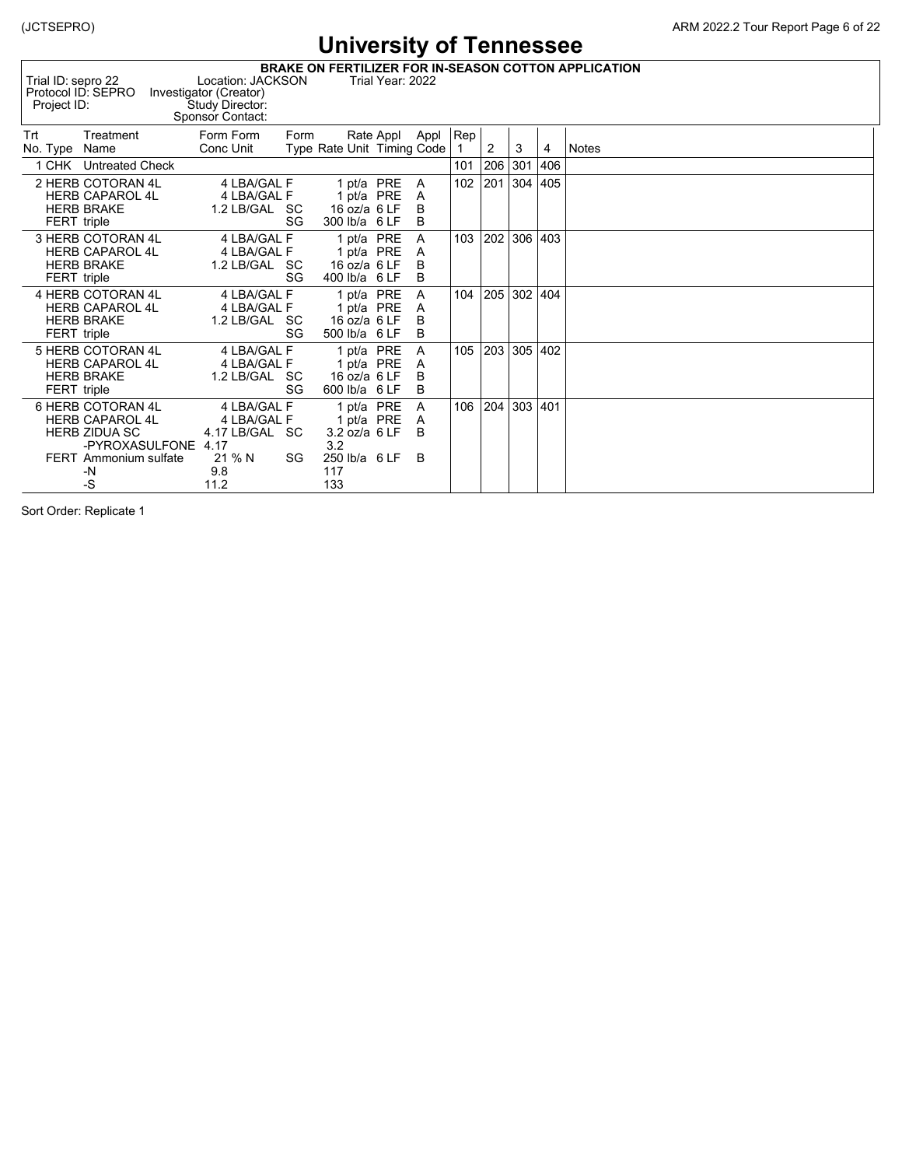|                    | <b>BRAKE ON FERTILIZER FOR IN-SEASON COTTON APPLICATION</b><br>Trial ID: sepro 22<br>Location: JACKSON<br>Trial Year: 2022<br>Protocol ID: SEPRO<br>Investigator (Creator)<br>Study Director:<br>Project ID:<br>Sponsor Contact: |                                              |      |                                                           |  |                  |     |     |     |      |              |  |
|--------------------|----------------------------------------------------------------------------------------------------------------------------------------------------------------------------------------------------------------------------------|----------------------------------------------|------|-----------------------------------------------------------|--|------------------|-----|-----|-----|------|--------------|--|
| Trt<br>No. Type    | Treatment<br>Name                                                                                                                                                                                                                | Form Form<br>Conc Unit                       | Form | Type Rate Unit Timing Code                                |  | Rate Appl Appl   | Rep | 2   | 3   | 4    | <b>Notes</b> |  |
|                    | 1 CHK Untreated Check                                                                                                                                                                                                            |                                              |      |                                                           |  |                  | 101 | 206 | 301 | 406  |              |  |
| <b>FERT</b> triple | 2 HERB COTORAN 4L<br><b>HERB CAPAROL 4L</b><br><b>HERB BRAKE</b>                                                                                                                                                                 | 4 LBA/GAL F<br>4 LBA/GAL F<br>1.2 LB/GAL SC  | SG   | 1 pt/a PRE<br>1 pt/a PRE<br>16 oz/a 6 LF<br>300 lb/a 6 LF |  | A<br>A<br>B<br>B | 102 | 201 | 304 | 405  |              |  |
| <b>FERT</b> triple | 3 HERB COTORAN 4L<br><b>HERB CAPAROL 4L</b><br><b>HERB BRAKE</b>                                                                                                                                                                 | 4 LBA/GAL F<br>4 LBA/GAL F<br>1.2 LB/GAL SC  | SG   | 1 pt/a PRE<br>1 pt/a PRE<br>16 oz/a 6 LF<br>400 lb/a 6 LF |  | A<br>A<br>B<br>B | 103 | 202 | 306 | 403  |              |  |
| FERT triple        | 4 HERB COTORAN 4L<br><b>HERB CAPAROL 4L</b><br><b>HERB BRAKE</b>                                                                                                                                                                 | 4 LBA/GAL F<br>4 LBA/GAL F<br>1.2 LB/GAL SC  | SG   | 1 pt/a PRE<br>1 pt/a PRE<br>16 oz/a 6 LF<br>500 lb/a 6 LF |  | Α<br>A<br>B<br>B | 104 | 205 | 302 | 404  |              |  |
| FERT triple        | 5 HERB COTORAN 4L<br><b>HERB CAPAROL 4L</b><br><b>HERB BRAKE</b>                                                                                                                                                                 | 4 LBA/GAL F<br>4 LBA/GAL F<br>1.2 LB/GAL SC  | SG   | 1 pt/a PRE<br>1 pt/a PRE<br>16 oz/a 6 LF<br>600 lb/a 6 LF |  | A<br>A<br>B<br>B | 105 | 203 | 305 | 402  |              |  |
|                    | 6 HERB COTORAN 4L<br><b>HERB CAPAROL 4L</b><br><b>HERB ZIDUA SC</b><br>-PYROXASULFONE 4.17                                                                                                                                       | 4 LBA/GAL F<br>4 LBA/GAL F<br>4.17 LB/GAL SC |      | 1 pt/a PRE<br>1 pt/a PRE<br>3.2 oz/a 6 LF<br>3.2          |  | Α<br>A<br>B      | 106 | 204 | 303 | 1401 |              |  |
|                    | <b>FERT</b> Ammonium sulfate<br>-N<br>$-S$                                                                                                                                                                                       | 21 % N<br>9.8<br>11.2                        | SG   | 250 lb/a 6 LF<br>117<br>133                               |  | B.               |     |     |     |      |              |  |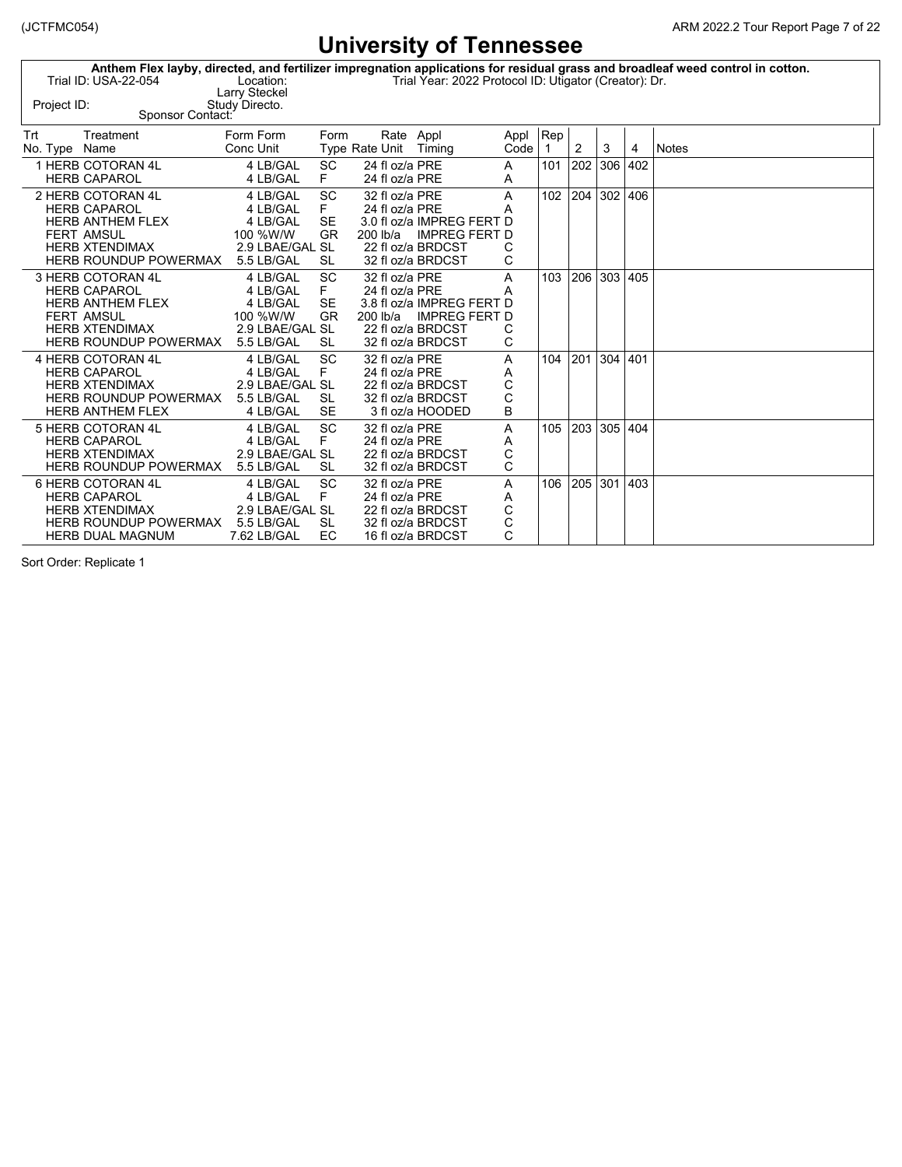|             |                      |                | Anthem Flex layby, directed, and fertilizer impregnation applications for residual grass and broadleaf weed control in cotton. |
|-------------|----------------------|----------------|--------------------------------------------------------------------------------------------------------------------------------|
|             | Trial ID: USA-22-054 | Location:      | Trial Year: 2022 Protocol ID: Utigator (Creator): Dr.                                                                          |
|             |                      | Larry Steckel  |                                                                                                                                |
| Project ID: |                      | Study Directo. |                                                                                                                                |
|             | Sponsor Contact:     |                |                                                                                                                                |

| Trt           | Treatment                    | Form Form       | Form      | Rate Appl             |                           | Appl Rep     |                |                 |         |   |       |
|---------------|------------------------------|-----------------|-----------|-----------------------|---------------------------|--------------|----------------|-----------------|---------|---|-------|
| No. Type Name |                              | Conc Unit       |           | Type Rate Unit Timing |                           | Code         |                | $\overline{2}$  | 3       | 4 | Notes |
|               | 1 HERB COTORAN 4L            | 4 LB/GAL        | <b>SC</b> | 24 fl oz/a PRE        |                           | A            | $101 \mid 202$ |                 | 306 402 |   |       |
|               | <b>HERB CAPAROL</b>          | 4 LB/GAL        | F.        | 24 fl oz/a PRE        |                           | A            |                |                 |         |   |       |
|               | 2 HERB COTORAN 4L            | 4 LB/GAL        | <b>SC</b> | 32 fl oz/a PRE        |                           | $\mathsf{A}$ |                | 102 204 302 406 |         |   |       |
|               | <b>HERB CAPAROL</b>          | 4 LB/GAL        | F.        | 24 fl oz/a PRE        |                           | A            |                |                 |         |   |       |
|               | HERB ANTHEM FLEX             | 4 LB/GAL        | SE        |                       | 3.0 fl oz/a IMPREG FERT D |              |                |                 |         |   |       |
|               | <b>FERT AMSUL</b>            | 100 %W/W        | GR.       |                       | 200 lb/a IMPREG FERT D    |              |                |                 |         |   |       |
|               | <b>HERB XTENDIMAX</b>        | 2.9 LBAE/GAL SL |           |                       | 22 fl oz/a BRDCST         |              |                |                 |         |   |       |
|               | HERB ROUNDUP POWERMAX        | 5.5 LB/GAL      | SL        |                       | 32 fl oz/a BRDCST         | C            |                |                 |         |   |       |
|               | 3 HERB COTORAN 4L            | 4 LB/GAL        | SC.       | 32 fl oz/a PRE        |                           | A            | 103 206        |                 | 303 405 |   |       |
|               | <b>HERB CAPAROL</b>          | 4 LB/GAL        | F.        | 24 fl oz/a PRE        |                           | A            |                |                 |         |   |       |
|               | <b>HERB ANTHEM FLEX</b>      | 4 LB/GAL        | SE        |                       | 3.8 fl oz/a IMPREG FERT D |              |                |                 |         |   |       |
|               | <b>FERT AMSUL</b>            | 100 %W/W        | GR.       |                       | 200 lb/a IMPREG FERT D    |              |                |                 |         |   |       |
|               | <b>HERB XTENDIMAX</b>        | 2.9 LBAE/GAL SL |           |                       | 22 fl oz/a BRDCST         | С            |                |                 |         |   |       |
|               | HERB ROUNDUP POWERMAX        | 5.5 LB/GAL      | SL        |                       | 32 fl oz/a BRDCST         | C            |                |                 |         |   |       |
|               | 4 HERB COTORAN 4L            | 4 LB/GAL        | <b>SC</b> | 32 fl oz/a PRE        |                           | A            | 104 201        |                 | 304 401 |   |       |
|               | <b>HERB CAPAROL</b>          | 4 LB/GAL        | F         | 24 fl oz/a PRE        |                           | Α            |                |                 |         |   |       |
|               | <b>HERB XTENDIMAX</b>        | 2.9 LBAE/GAL SL |           |                       | 22 fl oz/a BRDCST         | С            |                |                 |         |   |       |
|               | HERB ROUNDUP POWERMAX        | 5.5 LB/GAL      | SL        |                       | 32 fl oz/a BRDCST         | C            |                |                 |         |   |       |
|               | <b>HERB ANTHEM FLEX</b>      | 4 LB/GAL        | <b>SE</b> |                       | 3 fl oz/a HOODED          | B            |                |                 |         |   |       |
|               | 5 HERB COTORAN 4L            | 4 LB/GAL        | SC        | 32 fl oz/a PRE        |                           | A            |                | 105 203 305 404 |         |   |       |
|               | <b>HERB CAPAROL</b>          | 4 LB/GAL        | F         | 24 fl oz/a PRE        |                           | A            |                |                 |         |   |       |
|               | <b>HERB XTENDIMAX</b>        | 2.9 LBAE/GAL SL |           |                       | 22 fl oz/a BRDCST         | С            |                |                 |         |   |       |
|               | <b>HERB ROUNDUP POWERMAX</b> | 5.5 LB/GAL      | <b>SL</b> |                       | 32 fl oz/a BRDCST         | C            |                |                 |         |   |       |
|               | 6 HERB COTORAN 4L            | 4 LB/GAL        | <b>SC</b> | 32 fl oz/a PRE        |                           | A            |                | 106 205 301 403 |         |   |       |
|               | <b>HERB CAPAROL</b>          | 4 LB/GAL        | F         | 24 fl oz/a PRE        |                           | A            |                |                 |         |   |       |
|               | HERB XTENDIMAX               | 2.9 LBAE/GAL SL |           |                       | 22 fl oz/a BRDCST         | С            |                |                 |         |   |       |
|               | HERB ROUNDUP POWERMAX        | 5.5 LB/GAL      | -SL       |                       | 32 fl oz/a BRDCST         | С            |                |                 |         |   |       |
|               | <b>HERB DUAL MAGNUM</b>      | 7.62 LB/GAL     | EC.       |                       | 16 fl oz/a BRDCST         | C            |                |                 |         |   |       |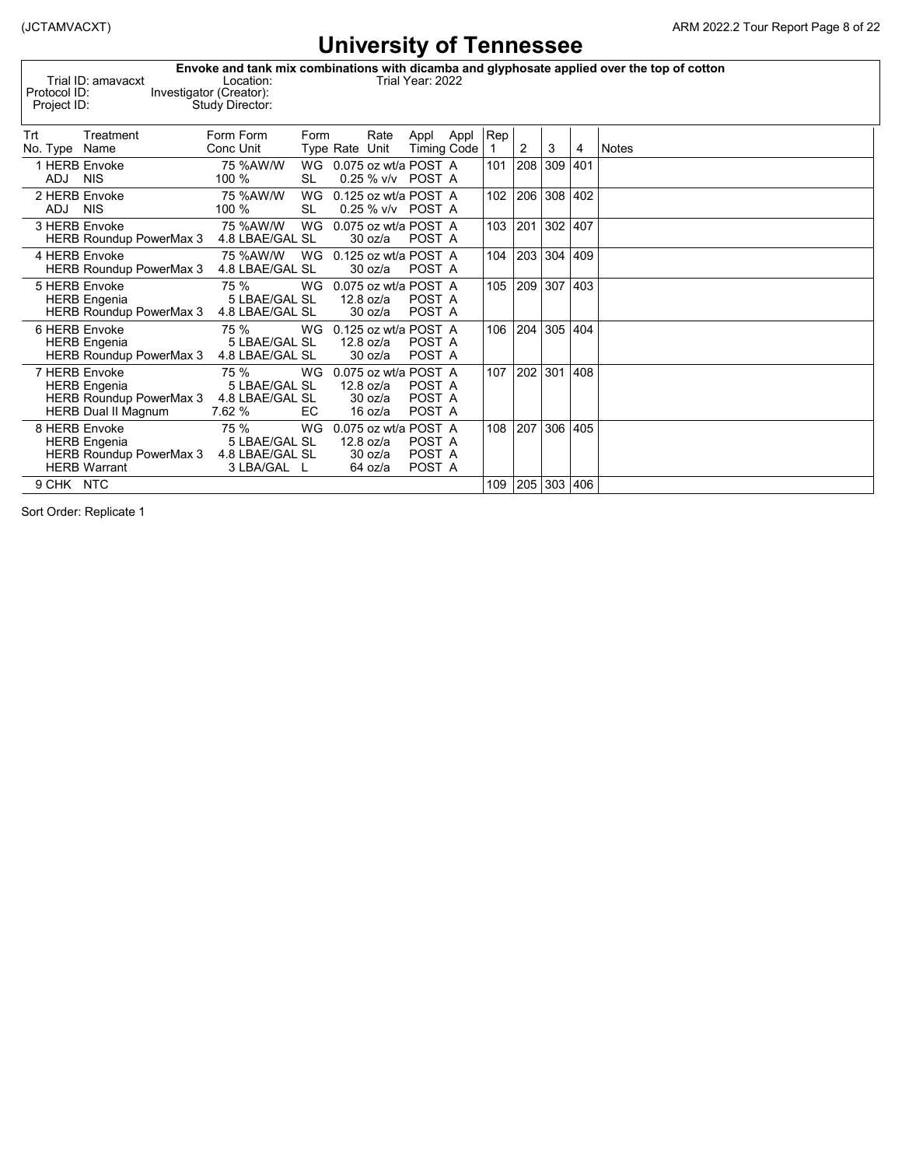|                    |                         | Envoke and tank mix combinations with dicamba and glyphosate applied over the top of cotton |
|--------------------|-------------------------|---------------------------------------------------------------------------------------------|
| Trial ID: amavacxt | Location:               | Trial Year: 2022                                                                            |
| Protocol ID:       | Investigator (Creator): |                                                                                             |
| Proiect ID:        | Study Director:         |                                                                                             |
|                    |                         |                                                                                             |
|                    |                         |                                                                                             |

| Trt           | Treatment                                                                                            | Form Form                                               | Form             |                | Rate                            | Appl Appl                                          | Rep |     |     |     |              |
|---------------|------------------------------------------------------------------------------------------------------|---------------------------------------------------------|------------------|----------------|---------------------------------|----------------------------------------------------|-----|-----|-----|-----|--------------|
| No. Type      | Name                                                                                                 | Conc Unit                                               |                  | Type Rate Unit |                                 | <b>Timing Code</b>                                 |     | 2   | 3   | 4   | <b>Notes</b> |
| ADJ           | 1 HERB Envoke<br><b>NIS</b>                                                                          | 75 %AW/W<br>100 %                                       | WG<br>SL         |                |                                 | 0.075 oz wt/a POST A<br>0.25 % v/v POST A          | 101 | 208 | 309 | 401 |              |
| ADJ NIS       | 2 HERB Envoke                                                                                        | 75 %AW/W<br>100 %                                       | WG<br>SL         |                |                                 | 0.125 oz wt/a POST A<br>0.25 % v/v POST A          | 102 | 206 | 308 | 402 |              |
|               | 3 HERB Envoke<br><b>HERB Roundup PowerMax 3</b>                                                      | 75 %AW/W<br>4.8 LBAE/GAL SL                             | WG               |                | 30 oz/a                         | 0.075 oz wt/a POST A<br>POST A                     | 103 | 201 | 302 | 407 |              |
| 4 HERB Envoke | <b>HERB Roundup PowerMax 3</b>                                                                       | 75 %AW/W<br>4.8 LBAE/GAL SL                             | WG               |                | 30 oz/a                         | 0.125 oz wt/a POST A<br>POST A                     | 104 | 203 | 304 | 409 |              |
|               | 5 HERB Envoke<br><b>HERB</b> Engenia<br><b>HERB Roundup PowerMax 3</b>                               | 75 %<br>5 LBAE/GAL SL<br>4.8 LBAE/GAL SL                | WG               |                | 12.8 oz/a<br>30 oz/a            | 0.075 oz wt/a POST A<br>POST A<br>POST A           | 105 | 209 | 307 | 403 |              |
|               | 6 HERB Envoke<br><b>HERB Engenia</b><br><b>HERB Roundup PowerMax 3</b>                               | 75 %<br>5 LBAE/GAL SL<br>4.8 LBAE/GAL SL                | WG               |                | 12.8 oz/a<br>30 oz/a            | 0.125 oz wt/a POST A<br>POST A<br>POST A           | 106 | 204 | 305 | 404 |              |
|               | 7 HERB Envoke<br><b>HERB</b> Engenia<br><b>HERB Roundup PowerMax 3</b><br><b>HERB Dual II Magnum</b> | 75 %<br>5 LBAE/GAL SL<br>4.8 LBAE/GAL SL<br>7.62 %      | <b>WG</b><br>EC. |                | 12.8 oz/a<br>30 oz/a<br>16 oz/a | 0.075 oz wt/a POST A<br>POST A<br>POST A<br>POST A | 107 | 202 | 301 | 408 |              |
|               | 8 HERB Envoke<br><b>HERB Engenia</b><br><b>HERB Roundup PowerMax 3</b><br><b>HERB Warrant</b>        | 75 %<br>5 LBAE/GAL SL<br>4.8 LBAE/GAL SL<br>3 LBA/GAL L | WG               |                | 12.8 oz/a<br>30 oz/a<br>64 oz/a | 0.075 oz wt/a POST A<br>POST A<br>POST A<br>POST A | 108 | 207 | 306 | 405 |              |
| 9 CHK NTC     |                                                                                                      |                                                         |                  |                |                                 |                                                    | 109 | 205 | 303 | 406 |              |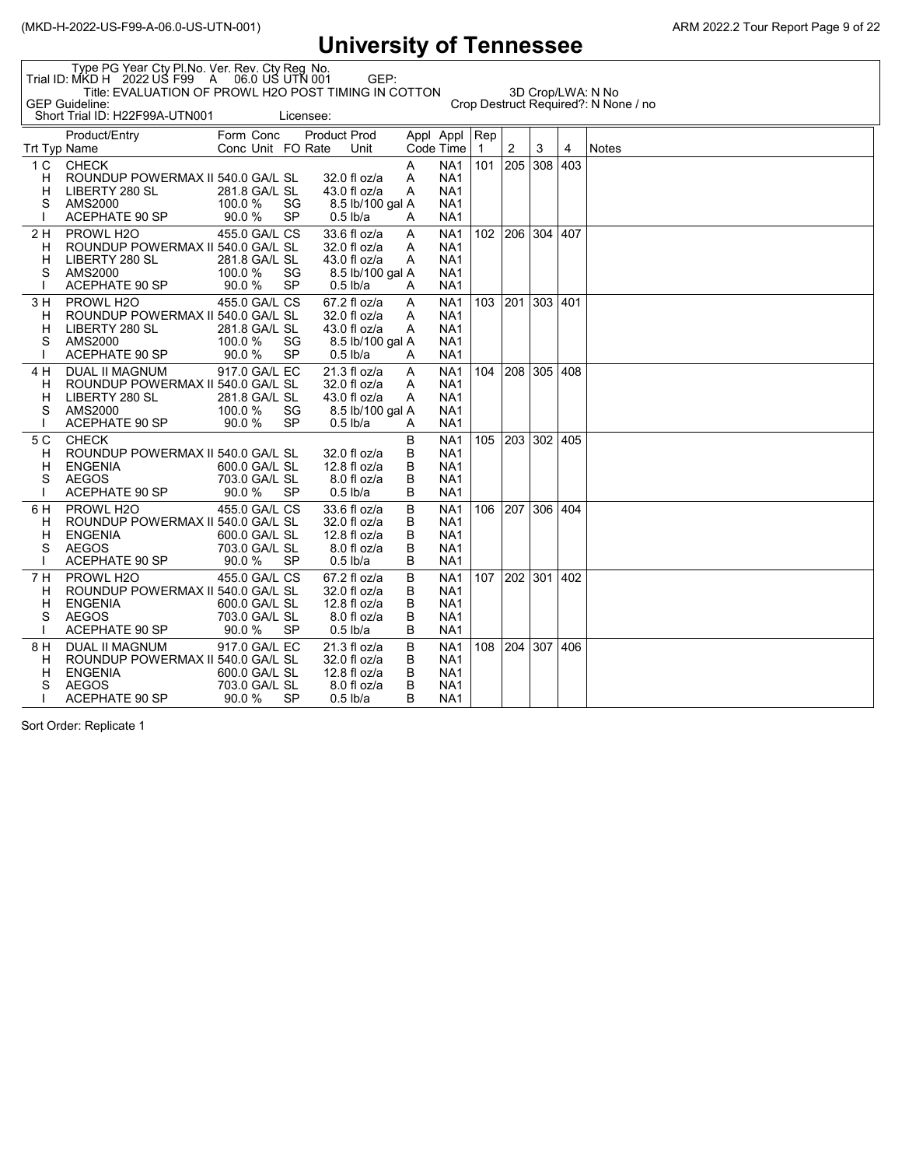|                               | 9111 V V I V I L Y<br><u>UL LULLIUUUUU</u>                                                                                                                                          |                                                           |                 |                                                               |                  |                       |                                                                                             |                     |     |             |     |              |  |
|-------------------------------|-------------------------------------------------------------------------------------------------------------------------------------------------------------------------------------|-----------------------------------------------------------|-----------------|---------------------------------------------------------------|------------------|-----------------------|---------------------------------------------------------------------------------------------|---------------------|-----|-------------|-----|--------------|--|
|                               | Type PG Year Cty PI.No. Ver. Rev. Cty Reg No.<br>Trial ID: MKD H 2022 US F99 A 06.0 US UTN 001<br>GEP:<br>Title: EVALUATION OF PROWL H2O POST TIMING IN COTTON<br>3D Crop/LWA: N No |                                                           |                 |                                                               |                  |                       |                                                                                             |                     |     |             |     |              |  |
|                               | <b>GEP Guideline:</b><br>Crop Destruct Required?: N None / no<br>Short Trial ID: H22F99A-UTN001<br>Licensee:                                                                        |                                                           |                 |                                                               |                  |                       |                                                                                             |                     |     |             |     |              |  |
| Trt Typ Name                  | Product/Entry                                                                                                                                                                       | Form Conc<br>Conc Unit FO Rate                            |                 | <b>Product Prod</b>                                           | Unit             | Appl Appl             | Code Time                                                                                   | Rep<br>$\mathbf{1}$ | 2   | 3           | 4   | <b>Notes</b> |  |
| 1 <sup>C</sup><br>н<br>н<br>S | <b>CHECK</b><br>ROUNDUP POWERMAX II 540.0 GA/L SL<br>LIBERTY 280 SL<br>AMS2000<br>ACEPHATE 90 SP                                                                                    | 281.8 GA/L SL<br>100.0 %<br>90.0%                         | SG<br>SP        | 32.0 fl oz/a<br>$43.0 f$ l oz/a<br>$0.5$ lb/a                 | 8.5 lb/100 gal A | A<br>A<br>A<br>A      | NA1<br>NA <sub>1</sub><br>NA <sub>1</sub><br>NA <sub>1</sub><br>NA <sub>1</sub>             | 101                 | 205 | 308         | 403 |              |  |
| 2 H<br>н<br>н<br>S            | PROWL H <sub>2</sub> O<br>ROUNDUP POWERMAX II 540.0 GA/L SL<br>LIBERTY 280 SL<br>AMS2000<br><b>ACEPHATE 90 SP</b>                                                                   | 455.0 GA/L CS<br>281.8 GA/L SL<br>100.0 %<br>90.0%        | SG<br><b>SP</b> | $33.6 f$ l oz/a<br>32.0 fl oz/a<br>43.0 fl oz/a<br>$0.5$ lb/a | 8.5 lb/100 gal A | A<br>A<br>A<br>A      | NA <sub>1</sub><br>NA <sub>1</sub><br>NA <sub>1</sub><br>NA <sub>1</sub><br>NA <sub>1</sub> | 102                 |     | 206 304 407 |     |              |  |
| 3 H<br>н<br>н<br>S            | PROWL H <sub>20</sub><br>ROUNDUP POWERMAX II 540.0 GA/L SL<br>LIBERTY 280 SL<br>AMS2000<br><b>ACEPHATE 90 SP</b>                                                                    | 455.0 GA/L CS<br>281.8 GA/L SL<br>100.0 %<br>90.0%        | SG<br><b>SP</b> | 67.2 fl oz/a<br>32.0 fl oz/a<br>$43.0 f$ l oz/a<br>$0.5$ lb/a | 8.5 lb/100 gal A | A<br>A<br>A<br>A      | NA <sub>1</sub><br>NA <sub>1</sub><br>NA <sub>1</sub><br>NA <sub>1</sub><br>NA <sub>1</sub> | 103                 |     | 201 303 401 |     |              |  |
| 4 H<br>н<br>н<br>S            | DUAL II MAGNUM<br>ROUNDUP POWERMAX II 540.0 GA/L SL<br>LIBERTY 280 SL<br>AMS2000<br><b>ACEPHATE 90 SP</b>                                                                           | 917.0 GA/L EC<br>281.8 GA/L SL<br>100.0 %<br>90.0%        | SG<br>SP        | $21.3 f$ l oz/a<br>32.0 fl oz/a<br>43.0 fl oz/a<br>$0.5$ lb/a | 8.5 lb/100 gal A | A<br>A<br>A<br>A      | NA <sub>1</sub><br>NA <sub>1</sub><br>NA <sub>1</sub><br>NA <sub>1</sub><br>NA1             | 104                 |     | 208 305 408 |     |              |  |
| 5 C<br>Н<br>н<br>S            | <b>CHECK</b><br>ROUNDUP POWERMAX II 540.0 GA/L SL<br><b>ENGENIA</b><br><b>AEGOS</b><br><b>ACEPHATE 90 SP</b>                                                                        | 600.0 GA/L SL<br>703.0 GA/L SL<br>90.0%                   | <b>SP</b>       | 32.0 fl oz/a<br>12.8 fl $oz/a$<br>$0.5$ lb/a                  | $8.0f$ l oz/a    | В<br>B<br>B<br>B<br>B | NA <sub>1</sub><br>NA <sub>1</sub><br>NA <sub>1</sub><br>NA <sub>1</sub><br>NA <sub>1</sub> | 105                 |     | 203 302 405 |     |              |  |
| 6 H<br>н<br>н<br>S            | PROWL H <sub>20</sub><br>ROUNDUP POWERMAX II 540.0 GA/L SL<br><b>ENGENIA</b><br><b>AEGOS</b><br><b>ACEPHATE 90 SP</b>                                                               | 455.0 GA/L CS<br>600.0 GA/L SL<br>703.0 GA/L SL<br>90.0%  | SP              | 33.6 fl oz/a<br>32.0 fl oz/a<br>12.8 fl oz/a<br>$0.5$ lb/a    | 8.0 fl oz/a      | B<br>В<br>B<br>B<br>B | NA <sub>1</sub><br>NA <sub>1</sub><br>NA <sub>1</sub><br>NA <sub>1</sub><br>NA <sub>1</sub> | 106                 | 207 | 306 404     |     |              |  |
| 7 H<br>н<br>н<br>S            | PROWL H <sub>20</sub><br>ROUNDUP POWERMAX II 540.0 GA/L SL<br><b>ENGENIA</b><br><b>AEGOS</b><br><b>ACEPHATE 90 SP</b>                                                               | 455.0 GA/L CS<br>600.0 GA/L SL<br>703.0 GA/L SL<br>90.0 % | SP              | 67.2 fl oz/a<br>32.0 fl oz/a<br>12.8 fl $oz/a$<br>$0.5$ lb/a  | $8.0f$ l oz/a    | B<br>B<br>B<br>B<br>B | NA <sub>1</sub><br>NA <sub>1</sub><br>NA1<br>NA <sub>1</sub><br>NA <sub>1</sub>             | 107                 |     | 202 301 402 |     |              |  |
| 8 H<br>н<br>н<br>S            | DUAL II MAGNUM<br>ROUNDUP POWERMAX II 540.0 GA/L SL<br><b>ENGENIA</b><br><b>AEGOS</b><br>ACEPHATE 90 SP                                                                             | 917.0 GA/L EC<br>600.0 GA/L SL<br>703.0 GA/L SL<br>90.0 % | SP              | 21.3 fl oz/a<br>32.0 fl oz/a<br>12.8 fl oz/a<br>$0.5$ lb/a    | 8.0 fl oz/a      | В<br>В<br>B<br>B<br>B | NA1<br>NA <sub>1</sub><br>NA <sub>1</sub><br>NA1<br>NA1                                     | 108                 |     | 204 307 406 |     |              |  |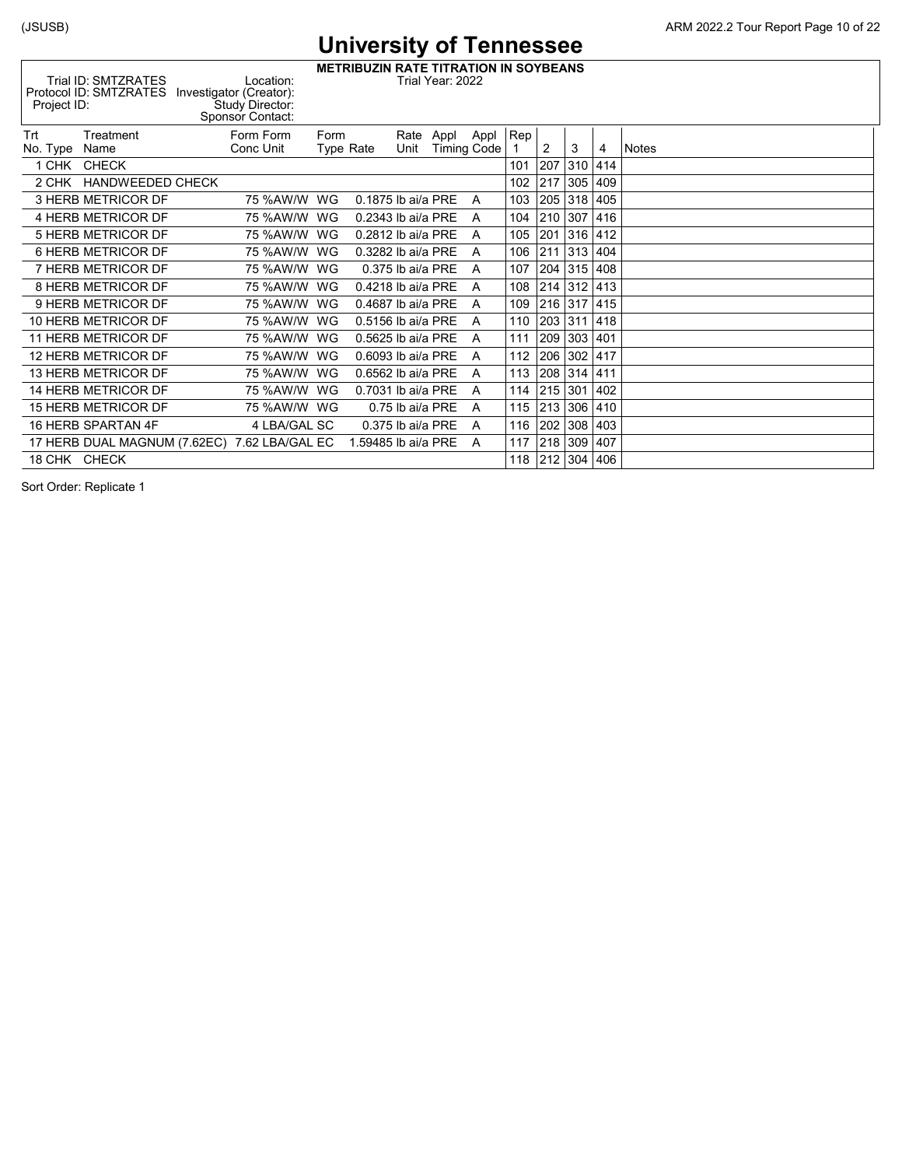(JSUSB) ARM 2022.2 Tour Report Page 10 of 22

**METRIBUZIN RATE TITRATION IN SOYBEANS** Trial ID: SMTZRATES Location: Trial Year: 2022 Protocol ID: SMTZRATES Investigator (Creator):

| Sponsor Contact:                                                                                               |  |
|----------------------------------------------------------------------------------------------------------------|--|
| Trt<br>Rep !<br>Form Form<br>Appl<br>Treatment<br>Form<br>Rate Appl                                            |  |
| Conc Unit<br>Unit<br><b>Timing Code</b><br><b>Type Rate</b><br><b>Notes</b><br>No. Type<br>Name<br>2<br>3<br>4 |  |
| 207<br>414<br>1 CHK CHECK<br>310<br>101                                                                        |  |
| 305<br><b>HANDWEEDED CHECK</b><br>102<br>217<br>409<br>2 CHK                                                   |  |
| 318<br>3 HERB METRICOR DF<br>103<br>205<br>405<br>0.1875 lb ai/a PRE<br>75 %AW/W<br>WG<br>A                    |  |
| 307<br>416<br>4 HERB METRICOR DF<br>210<br>75 %AW/W<br>WG<br>0.2343 lb ai/a PRE<br>104<br>A                    |  |
| 201<br>316<br>412<br>5 HERB METRICOR DF<br>75 %AW/W<br>105<br>WG<br>0.2812 lb ai/a PRE<br>A                    |  |
| 313<br>6 HERB METRICOR DF<br>404<br>75 %AW/W<br>WG<br>0.3282 lb ai/a PRE<br>106<br>211<br>A                    |  |
| 204<br>315<br>408<br>7 HERB METRICOR DF<br>75 %AW/W<br>107<br>WG<br>$0.375$ lb ai/a PRE<br>A                   |  |
| 8 HERB METRICOR DF<br>108<br>$ 312\rangle$<br>413<br>75 %AW/W<br>0.4218 lb ai/a PRE<br>214<br>WG<br>A          |  |
| 216<br>317<br>9 HERB METRICOR DF<br>75 %AW/W<br>109<br>415<br>WG<br>0.4687 lb ai/a PRE<br>A                    |  |
| 10 HERB METRICOR DF<br>203 311<br>418<br>75 %AW/W<br>WG<br>0.5156 lb ai/a PRE<br>110<br>A                      |  |
| 209<br>303<br>11 HERB METRICOR DF<br>75 %AW/W<br>111<br>401<br>WG<br>0.5625 lb ai/a PRE<br>A                   |  |
| 206 302<br>417<br>12 HERB METRICOR DF<br>112<br>75 %AW/W WG<br>0.6093 lb ai/a PRE<br>A                         |  |
| 208<br>$ 314\rangle$<br>13 HERB METRICOR DF<br>75 %AW/W<br>113<br>411<br>WG<br>0.6562 lb ai/a PRE<br>A         |  |
| 215 301<br>14 HERB METRICOR DF<br>75 %AW/W<br>402<br>WG<br>0.7031 lb ai/a PRE<br>114<br>A                      |  |
| 213<br>306<br>15 HERB METRICOR DF<br>115<br>410<br>75 %AW/W WG<br>0.75 lb ai/a PRE<br>A                        |  |
| 308<br>16 HERB SPARTAN 4F<br>4 LBA/GAL SC<br>116<br>202<br>403<br>$0.375$ lb ai/a PRE<br>A                     |  |
| 309<br>17 HERB DUAL MAGNUM (7.62EC) 7.62 LBA/GAL EC<br>218<br>407<br>1.59485 lb ai/a PRE<br>117<br>A           |  |
| 18 CHK CHECK<br>212 304<br>406<br>118                                                                          |  |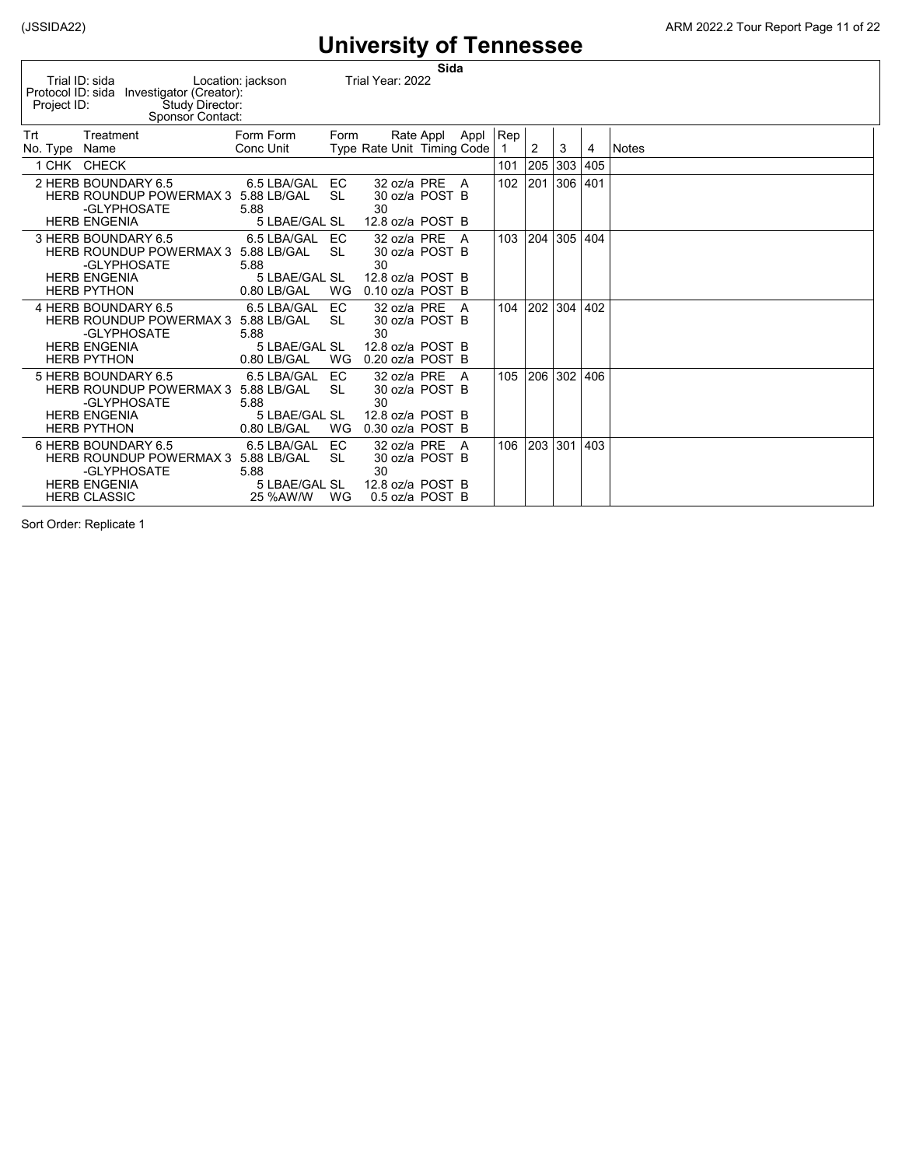|                                  |                                                                                                  |                                                     |                 |                                                         | Sida      |      |     |     |     |     |              |
|----------------------------------|--------------------------------------------------------------------------------------------------|-----------------------------------------------------|-----------------|---------------------------------------------------------|-----------|------|-----|-----|-----|-----|--------------|
| Protocol ID: sida<br>Project ID: | Trial ID: sida<br>Investigator (Creator):<br>Study Director:<br>Sponsor Contact:                 | Location: jackson                                   |                 | Trial Year: 2022                                        |           |      |     |     |     |     |              |
| Trt                              | Treatment                                                                                        | Form Form                                           | Form            |                                                         | Rate Appl | Appl | Rep |     |     |     |              |
| No. Type                         | Name                                                                                             | Conc Unit                                           |                 | Type Rate Unit Timing Code                              |           |      |     | 2   | 3   | 4   | <b>Notes</b> |
|                                  | 1 CHK CHECK                                                                                      |                                                     |                 |                                                         |           |      | 101 | 205 | 303 | 405 |              |
|                                  | 2 HERB BOUNDARY 6.5<br><b>HERB ROUNDUP POWERMAX 3</b><br>-GLYPHOSATE<br><b>HERB ENGENIA</b>      | 6.5 LBA/GAL<br>5.88 LB/GAL<br>5.88<br>5 LBAE/GAL SL | EC<br><b>SL</b> | 32 oz/a PRE<br>30 oz/a POST B<br>30                     |           | A    | 102 | 201 | 306 | 401 |              |
|                                  |                                                                                                  |                                                     |                 | 12.8 oz/a POST B                                        |           |      |     |     |     |     |              |
|                                  | 3 HERB BOUNDARY 6.5<br>HERB ROUNDUP POWERMAX 3 5.88 LB/GAL<br>-GLYPHOSATE                        | 6.5 LBA/GAL<br>5.88                                 | EC<br><b>SL</b> | 32 oz/a PRE<br>30 oz/a POST B<br>30                     |           | A    | 103 | 204 | 305 | 404 |              |
|                                  | <b>HERB ENGENIA</b><br><b>HERB PYTHON</b>                                                        | 5 LBAE/GAL SL<br>0.80 LB/GAL                        | WG              | 12.8 oz/a POST B<br>$0.10$ oz/a POST B                  |           |      |     |     |     |     |              |
|                                  | 4 HERB BOUNDARY 6.5<br>HERB ROUNDUP POWERMAX 3 5.88 LB/GAL<br>-GLYPHOSATE                        | 6.5 LBA/GAL<br>5.88                                 | EC<br><b>SL</b> | 32 oz/a PRE<br>30 oz/a POST B<br>30                     |           | A    | 104 | 202 | 304 | 402 |              |
|                                  | <b>HERB ENGENIA</b><br><b>HERB PYTHON</b>                                                        | 5 LBAE/GAL SL<br>0.80 LB/GAL                        | WG              | 12.8 oz/a POST B<br>0.20 oz/a POST B                    |           |      |     |     |     |     |              |
|                                  | 5 HERB BOUNDARY 6.5<br>HERB ROUNDUP POWERMAX 3 5.88 LB/GAL<br>-GLYPHOSATE<br><b>HERB ENGENIA</b> | 6.5 LBA/GAL<br>5.88<br>5 LBAE/GAL SL                | EC<br>SI.       | 32 oz/a PRE<br>30 oz/a POST B<br>30<br>12.8 oz/a POST B |           | A    | 105 | 206 | 302 | 406 |              |
|                                  | <b>HERB PYTHON</b>                                                                               | 0.80 LB/GAL                                         | WG              | 0.30 oz/a POST B                                        |           |      |     |     |     |     |              |
|                                  | 6 HERB BOUNDARY 6.5<br><b>HERB ROUNDUP POWERMAX 3</b><br>-GLYPHOSATE                             | 6.5 LBA/GAL<br>5.88 LB/GAL<br>5.88                  | EC<br><b>SL</b> | 32 oz/a PRE<br>30 oz/a POST B<br>30                     |           | A    | 106 | 203 | 301 | 403 |              |
|                                  | <b>HERB ENGENIA</b><br><b>HERB CLASSIC</b>                                                       | 5 LBAE/GAL SL<br>25 %AW/W                           | WG              | 12.8 oz/a POST B<br>0.5 oz/a POST B                     |           |      |     |     |     |     |              |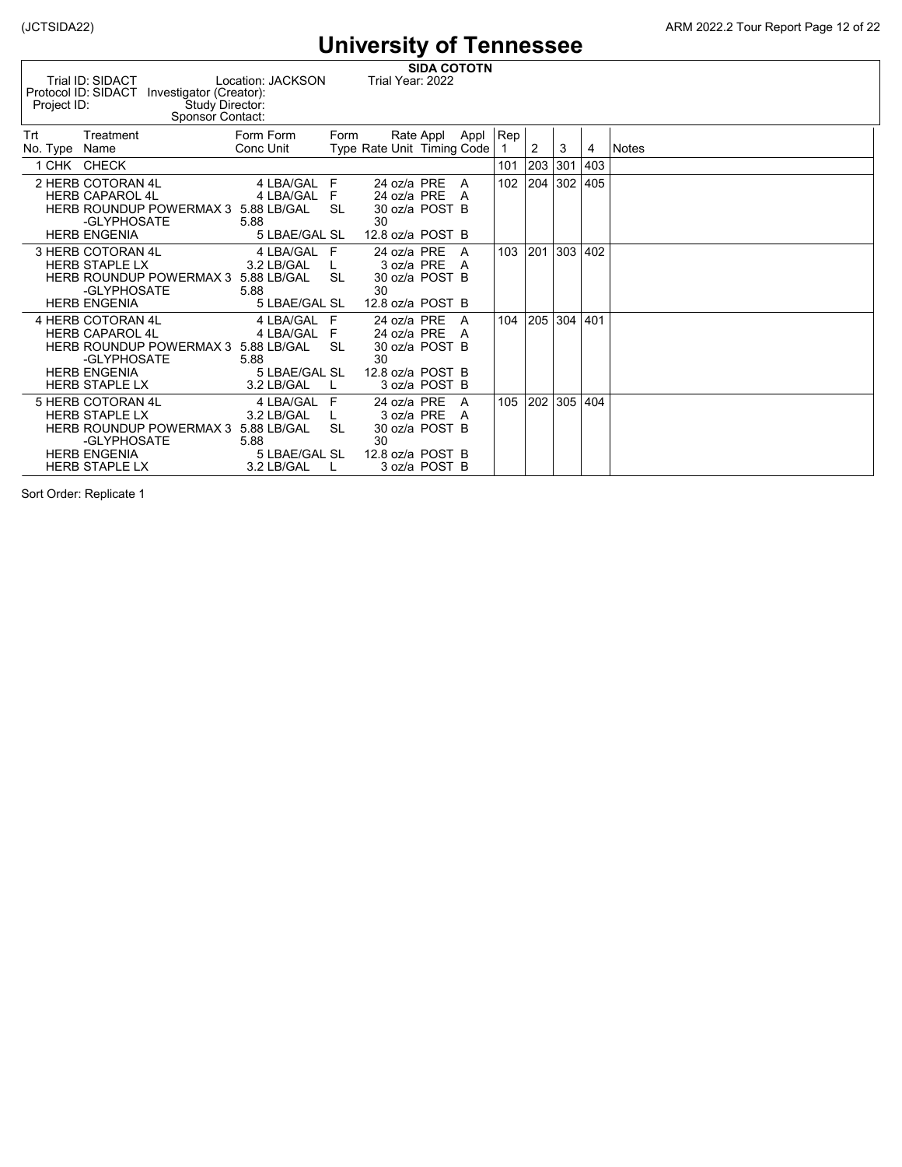| Project ID:   | Trial ID: SIDACT<br>Protocol ID: SIDACT Investigator (Creator): | Study Director:<br>Sponsor Contact: | Location: JACKSON           |           | Trial Year: 2022           | <b>SIDA COTOTN</b> |          |         |     |     |     |              |
|---------------|-----------------------------------------------------------------|-------------------------------------|-----------------------------|-----------|----------------------------|--------------------|----------|---------|-----|-----|-----|--------------|
| Trt           | Treatment                                                       |                                     | Form Form                   | Form      |                            | Rate Appl          | Appl     | $ $ Rep |     |     |     |              |
| No. Type Name |                                                                 |                                     | Conc Unit                   |           | Type Rate Unit Timing Code |                    |          |         | 2   | 3   | 4   | <b>Notes</b> |
|               | 1 CHK CHECK                                                     |                                     |                             |           |                            |                    |          | 101     | 203 | 301 | 403 |              |
|               | 2 HERB COTORAN 4L                                               |                                     | 4 LBA/GAL F                 |           | 24 oz/a PRE                |                    | A        | 102     | 204 | 302 | 405 |              |
|               | <b>HERB CAPAROL 4L</b>                                          |                                     | 4 LBA/GAL F                 |           | 24 oz/a PRE                |                    | <b>A</b> |         |     |     |     |              |
|               | HERB ROUNDUP POWERMAX 3 5.88 LB/GAL SL                          |                                     |                             |           | 30 oz/a POST B             |                    |          |         |     |     |     |              |
|               | -GLYPHOSATE                                                     |                                     | 5.88                        |           | 30                         |                    |          |         |     |     |     |              |
|               | <b>HERB ENGENIA</b>                                             |                                     | 5 LBAE/GAL SL               |           | 12.8 oz/a POST B           |                    |          |         |     |     |     |              |
|               | 3 HERB COTORAN 4L                                               |                                     | 4 LBA/GAL F                 |           | 24 oz/a PRE                |                    | A        | 103     | 201 | 303 | 402 |              |
|               | <b>HERB STAPLE LX</b>                                           |                                     | 3.2 LB/GAL                  |           |                            | 3 oz/a PRE A       |          |         |     |     |     |              |
|               | <b>HERB ROUNDUP POWERMAX 3</b><br>-GLYPHOSATE                   |                                     | 5.88 LB/GAL<br>5.88         | <b>SL</b> | 30 oz/a POST B<br>30       |                    |          |         |     |     |     |              |
|               | <b>HERB ENGENIA</b>                                             |                                     | 5 LBAE/GAL SL               |           | 12.8 oz/a POST B           |                    |          |         |     |     |     |              |
|               | 4 HERB COTORAN 4L                                               |                                     | 4 LBA/GAL F                 |           | 24 oz/a PRE                |                    | <b>A</b> | 104     | 205 | 304 | 401 |              |
|               | <b>HERB CAPAROL 4L</b>                                          |                                     | 4 LBA/GAL F                 |           | 24 oz/a PRE                |                    | <b>A</b> |         |     |     |     |              |
|               | <b>HERB ROUNDUP POWERMAX 3</b>                                  |                                     | 5.88 LB/GAL                 | <b>SL</b> | 30 oz/a POST B             |                    |          |         |     |     |     |              |
|               | -GLYPHOSATE                                                     |                                     | 5.88                        |           | 30                         |                    |          |         |     |     |     |              |
|               | <b>HERB ENGENIA</b>                                             |                                     | 5 LBAE/GAL SL               |           | 12.8 $oz/a$ POST B         |                    |          |         |     |     |     |              |
|               | <b>HERB STAPLE LX</b>                                           |                                     | 3.2 LB/GAL                  |           |                            | 3 oz/a POST B      |          |         |     |     |     |              |
|               | 5 HERB COTORAN 4L                                               |                                     | 4 LBA/GAL                   | F         | 24 oz/a PRE                |                    | A        | 105     | 202 | 305 | 404 |              |
|               | <b>HERB STAPLE LX</b>                                           |                                     | 3.2 LB/GAL                  |           | 3 oz/a PRE                 |                    | A        |         |     |     |     |              |
|               | HERB ROUNDUP POWERMAX 3 5.88 LB/GAL                             |                                     |                             | <b>SL</b> | 30 oz/a POST B             |                    |          |         |     |     |     |              |
|               | -GLYPHOSATE                                                     |                                     | 5.88                        |           | 30                         |                    |          |         |     |     |     |              |
|               | <b>HERB ENGENIA</b><br><b>HERB STAPLE LX</b>                    |                                     | 5 LBAE/GAL SL<br>3.2 LB/GAL |           | 12.8 oz/a POST B           | 3 oz/a POST B      |          |         |     |     |     |              |
|               |                                                                 |                                     |                             |           |                            |                    |          |         |     |     |     |              |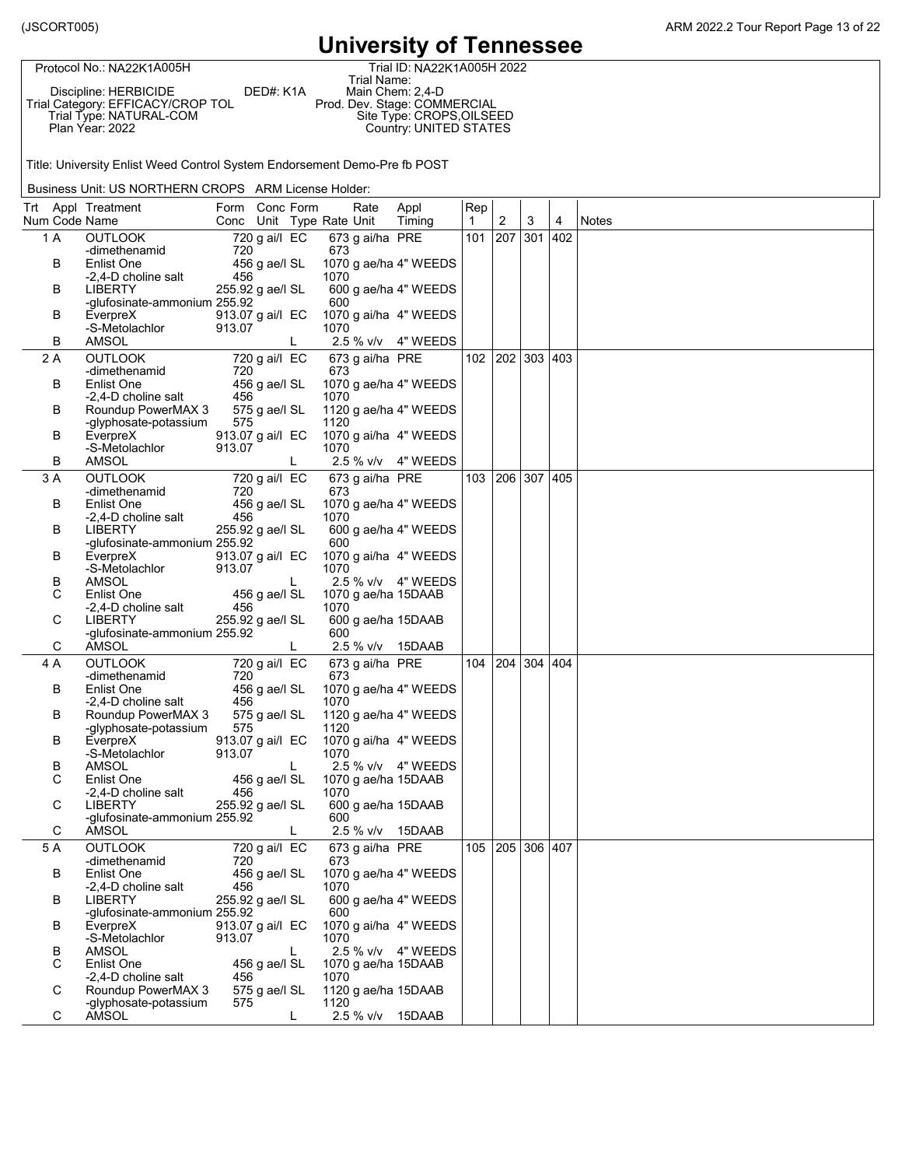|                                   |           | Trial Name:                  |
|-----------------------------------|-----------|------------------------------|
| Discipline: HERBICIDE             | DED#: K1A | Main Chem: 2.4-D             |
| Trial Category: EFFICACY/CROP TOL |           | Prod. Dev. Stage: COMMERCIAL |
| Trial Type: NATURAL-COM           |           | Site Type: CROPS, OILSEED    |
| Plan Year: 2022                   |           | Country: UNITED STATES       |
|                                   |           |                              |

Protocol No.: NA22K1A005H Trial ID: NA22K1A005H 2022 Trial Name: Trial Type: NATURAL-COM Site Type: CROPS,OILSEED

Title: University Enlist Weed Control System Endorsement Demo-Pre fb POST

Business Unit: US NORTHERN CROPS ARM License Holder:

| Trt Appl Treatment<br>Num Code Name |                                                | Form Conc Form             |               |    | Rate<br>Conc Unit Type Rate Unit | Appl<br>Timing | Rep<br>$\mathbf{1}$ | 2               | 3 | 4   | <b>Notes</b> |
|-------------------------------------|------------------------------------------------|----------------------------|---------------|----|----------------------------------|----------------|---------------------|-----------------|---|-----|--------------|
|                                     |                                                |                            |               |    |                                  |                |                     |                 |   |     |              |
| 1 A                                 | <b>OUTLOOK</b>                                 |                            | 720 g ai/l EC |    | 673 g ai/ha PRE                  |                | 101                 | 207 301         |   | 402 |              |
| B                                   | -dimethenamid<br><b>Enlist One</b>             | 720                        | 456 g ae/l SL |    | 673<br>1070 g ae/ha 4" WEEDS     |                |                     |                 |   |     |              |
|                                     | -2,4-D choline salt                            | 456                        |               |    | 1070                             |                |                     |                 |   |     |              |
| B                                   | <b>LIBERTY</b>                                 | 255.92 g ae/l SL           |               |    | 600 g ae/ha 4" WEEDS             |                |                     |                 |   |     |              |
|                                     | -glufosinate-ammonium 255.92                   |                            |               |    | 600                              |                |                     |                 |   |     |              |
| B                                   | EverpreX                                       | 913.07 g ai/l EC           |               |    | 1070 g ai/ha 4" WEEDS            |                |                     |                 |   |     |              |
|                                     | -S-Metolachlor                                 | 913.07                     |               |    | 1070                             |                |                     |                 |   |     |              |
| B                                   | AMSOL                                          |                            |               | L. | 2.5 % v/v 4" WEEDS               |                |                     |                 |   |     |              |
| 2 A                                 | <b>OUTLOOK</b>                                 |                            | 720 g ai/l EC |    | 673 g ai/ha PRE                  |                |                     | 102 202 303 403 |   |     |              |
|                                     | -dimethenamid                                  | 720                        |               |    | 673                              |                |                     |                 |   |     |              |
| B                                   | <b>Enlist One</b>                              |                            | 456 g ae/l SL |    | 1070 g ae/ha 4" WEEDS            |                |                     |                 |   |     |              |
|                                     | -2,4-D choline salt                            | 456                        |               |    | 1070                             |                |                     |                 |   |     |              |
| в                                   | Roundup PowerMAX 3                             |                            | 575 g ae/l SL |    | 1120 g ae/ha 4" WEEDS            |                |                     |                 |   |     |              |
|                                     | -glyphosate-potassium                          | 575                        |               |    | 1120                             |                |                     |                 |   |     |              |
| в                                   | EverpreX<br>-S-Metolachlor                     | 913.07 g ai/l EC<br>913.07 |               |    | 1070 g ai/ha 4" WEEDS<br>1070    |                |                     |                 |   |     |              |
| В                                   | AMSOL                                          |                            |               | L. | 2.5 % v/v                        | 4" WEEDS       |                     |                 |   |     |              |
|                                     |                                                |                            |               |    |                                  |                |                     |                 |   |     |              |
| 3 A                                 | <b>OUTLOOK</b><br>-dimethenamid                | 720                        | 720 g ai/l EC |    | 673 g ai/ha PRE<br>673           |                | 103                 | 206 307 405     |   |     |              |
| в                                   | Enlist One                                     |                            | 456 g ae/l SL |    | 1070 g ae/ha 4" WEEDS            |                |                     |                 |   |     |              |
|                                     | -2,4-D choline salt                            | 456                        |               |    | 1070                             |                |                     |                 |   |     |              |
| B                                   | <b>LIBERTY</b>                                 | 255.92 g ae/l SL           |               |    | 600 g ae/ha 4" WEEDS             |                |                     |                 |   |     |              |
|                                     | -glufosinate-ammonium 255.92                   |                            |               |    | 600                              |                |                     |                 |   |     |              |
| B                                   | EverpreX                                       | 913.07 g ai/l EC           |               |    | 1070 g ai/ha 4" WEEDS            |                |                     |                 |   |     |              |
|                                     | -S-Metolachlor                                 | 913.07                     |               |    | 1070                             |                |                     |                 |   |     |              |
| B                                   | AMSOL                                          |                            |               | L  | 2.5 % v/v 4" WEEDS               |                |                     |                 |   |     |              |
| С                                   | Enlist One                                     |                            | 456 g ae/l SL |    | 1070 g ae/ha 15DAAB              |                |                     |                 |   |     |              |
|                                     | -2.4-D choline salt                            | 456                        |               |    | 1070                             |                |                     |                 |   |     |              |
| С                                   | <b>LIBERTY</b><br>-glufosinate-ammonium 255.92 | 255.92 g ae/l SL           |               |    | 600 g ae/ha 15DAAB<br>600        |                |                     |                 |   |     |              |
| С                                   | AMSOL                                          |                            |               | L  | 2.5 % v/v                        | 15DAAB         |                     |                 |   |     |              |
| 4 A                                 | <b>OUTLOOK</b>                                 |                            | 720 g ai/l EC |    | 673 g ai/ha PRE                  |                | 104                 | 204 304         |   | 404 |              |
|                                     | -dimethenamid                                  | 720                        |               |    | 673                              |                |                     |                 |   |     |              |
| В                                   | Enlist One                                     |                            | 456 g ae/l SL |    | 1070 g ae/ha 4" WEEDS            |                |                     |                 |   |     |              |
|                                     | -2,4-D choline salt                            | 456                        |               |    | 1070                             |                |                     |                 |   |     |              |
| B                                   | Roundup PowerMAX 3                             |                            | 575 g ae/l SL |    | 1120 g ae/ha 4" WEEDS            |                |                     |                 |   |     |              |
| B                                   | -glyphosate-potassium<br>EverpreX              | 575<br>913.07 g ai/l EC    |               |    | 1120<br>1070 g ai/ha 4" WEEDS    |                |                     |                 |   |     |              |
|                                     | -S-Metolachlor                                 | 913.07                     |               |    | 1070                             |                |                     |                 |   |     |              |
| B                                   | AMSOL                                          |                            |               | L. | 2.5 % v/v 4" WEEDS               |                |                     |                 |   |     |              |
| C                                   | Enlist One                                     |                            | 456 g ae/l SL |    | 1070 g ae/ha 15DAAB              |                |                     |                 |   |     |              |
|                                     | -2.4-D choline salt                            | 456                        |               |    | 1070                             |                |                     |                 |   |     |              |
| С                                   | <b>LIBERTY</b>                                 | 255.92 g ae/l SL           |               |    | 600 g ae/ha 15DAAB               |                |                     |                 |   |     |              |
|                                     | -glufosinate-ammonium 255.92                   |                            |               |    | 600                              |                |                     |                 |   |     |              |
| С                                   | AMSOL                                          |                            |               | L  | $2.5 %$ V/v                      | 15DAAB         |                     |                 |   |     |              |
| 5 A                                 | <b>OUTLOOK</b>                                 |                            | 720 g ai/l EC |    | 673 g ai/ha PRE                  |                | 105                 | 205   306   407 |   |     |              |
| В                                   | -dimethenamid<br><b>Enlist One</b>             | 720                        | 456 g ae/l SL |    | 673<br>1070 g ae/ha 4" WEEDS     |                |                     |                 |   |     |              |
|                                     | -2,4-D choline salt                            | 456                        |               |    | 1070                             |                |                     |                 |   |     |              |
| B                                   | <b>LIBERTY</b>                                 | 255.92 g ae/l SL           |               |    | 600 g ae/ha 4" WEEDS             |                |                     |                 |   |     |              |
|                                     | -glufosinate-ammonium 255.92                   |                            |               |    | 600                              |                |                     |                 |   |     |              |
| В                                   | EverpreX                                       | 913.07 g ai/l EC           |               |    | 1070 g ai/ha 4" WEEDS            |                |                     |                 |   |     |              |
|                                     | -S-Metolachlor                                 | 913.07                     |               |    | 1070                             |                |                     |                 |   |     |              |
| B                                   | <b>AMSOL</b>                                   |                            |               | L. | 2.5 % v/v 4" WEEDS               |                |                     |                 |   |     |              |
| C                                   | <b>Enlist One</b>                              |                            | 456 g ae/l SL |    | 1070 g ae/ha 15DAAB              |                |                     |                 |   |     |              |
|                                     | -2,4-D choline salt                            | 456                        |               |    | 1070                             |                |                     |                 |   |     |              |
| С                                   | Roundup PowerMAX 3                             |                            | 575 g ae/l SL |    | 1120 g ae/ha 15DAAB              |                |                     |                 |   |     |              |
| C                                   | -glyphosate-potassium<br>AMSOL                 | 575                        |               | L. | 1120<br>2.5 % v/v                | 15DAAB         |                     |                 |   |     |              |
|                                     |                                                |                            |               |    |                                  |                |                     |                 |   |     |              |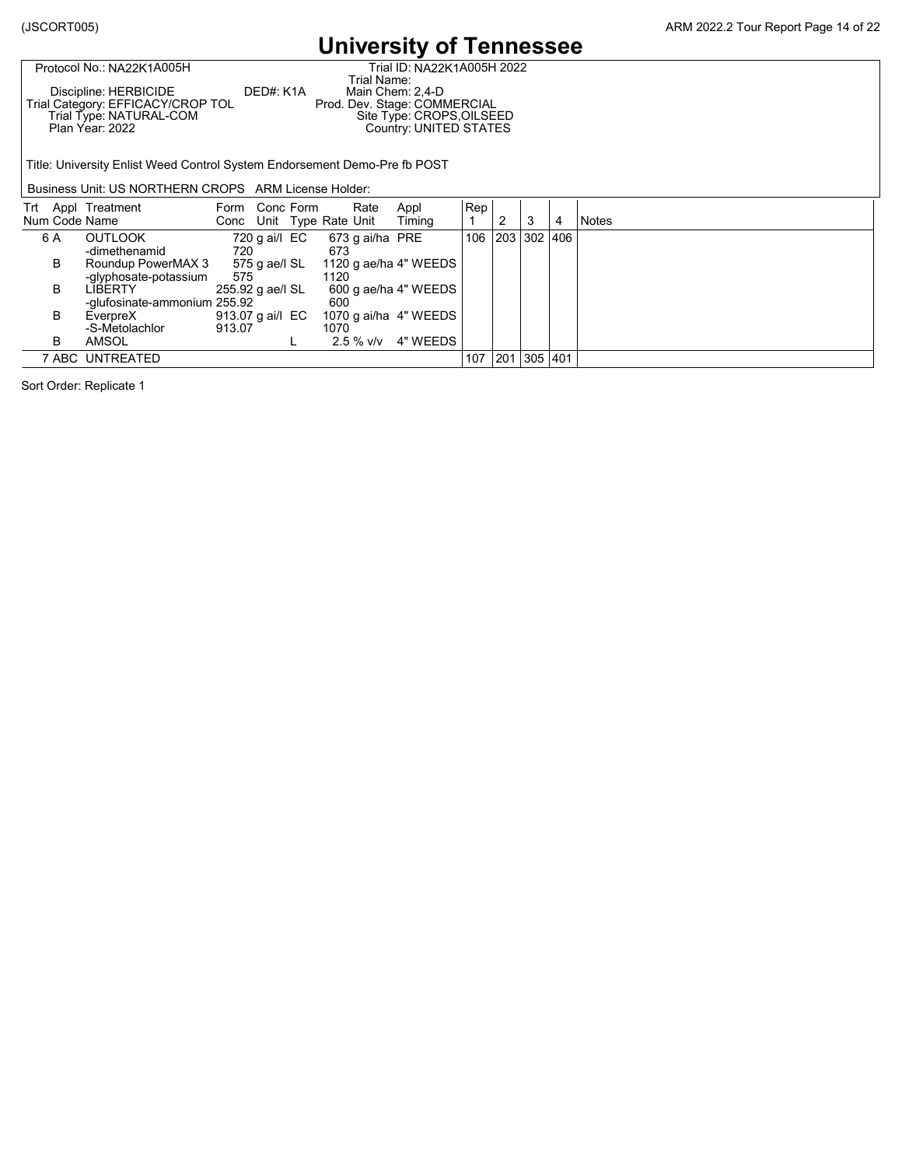Г

#### **University of Tennessee**

| PTULUCULINU INAZZNI AUUJU         |           | THAI ID. NAZZN IAUUJH ZU     |
|-----------------------------------|-----------|------------------------------|
|                                   |           | Trial Name:                  |
| Discipline: HERBICIDE             | DED#: K1A | Main Chem: 2.4-D             |
| Trial Category: EFFICACY/CROP TOL |           | Prod. Dev. Stage: COMMERCIAL |
| Trial Type: NATURAL-COM           |           | Site Type: CROPS, OILSEED    |
| Plan Year: 2022                   |           | Country: UNITED STATES       |
|                                   |           |                              |

Protocol No.: NA22K1A005H Trial ID: NA22K1A005H 2022 Trial Name:

Title: University Enlist Weed Control System Endorsement Demo-Pre fb POST

Business Unit: US NORTHERN CROPS ARM License Holder:

| Num Code Name | Trt Appl Treatment                          | Form Conc Form             |               | Rate<br>Conc Unit Type Rate Unit | Appl<br>Timing        | Rep | ົ               | 3         | 4 | <b>Notes</b> |
|---------------|---------------------------------------------|----------------------------|---------------|----------------------------------|-----------------------|-----|-----------------|-----------|---|--------------|
| 6 A           | <b>OUTLOOK</b><br>-dimethenamid             | 720                        | 720 g ai/l EC | 673 g ai/ha PRE<br>673           |                       |     | 106 203 302 406 |           |   |              |
| В             | Roundup PowerMAX 3<br>-glyphosate-potassium | 575                        | 575 g ae/l SL | 1120                             | 1120 g ae/ha 4" WEEDS |     |                 |           |   |              |
| в             | LIBERTY<br>-glufosinate-ammonium 255.92     | 255.92 g ae/l SL           |               | 600                              | 600 g ae/ha 4" WEEDS  |     |                 |           |   |              |
| в             | EverpreX<br>-S-Metolachlor                  | 913.07 g ai/l EC<br>913.07 |               | 1070                             | 1070 g ai/ha 4" WEEDS |     |                 |           |   |              |
| B             | AMSOL                                       |                            |               | $2.5 \%$ v/v                     | 4" WEEDS              |     |                 |           |   |              |
|               | 7 ABC UNTREATED                             |                            |               |                                  |                       | 107 | 201             | 305   401 |   |              |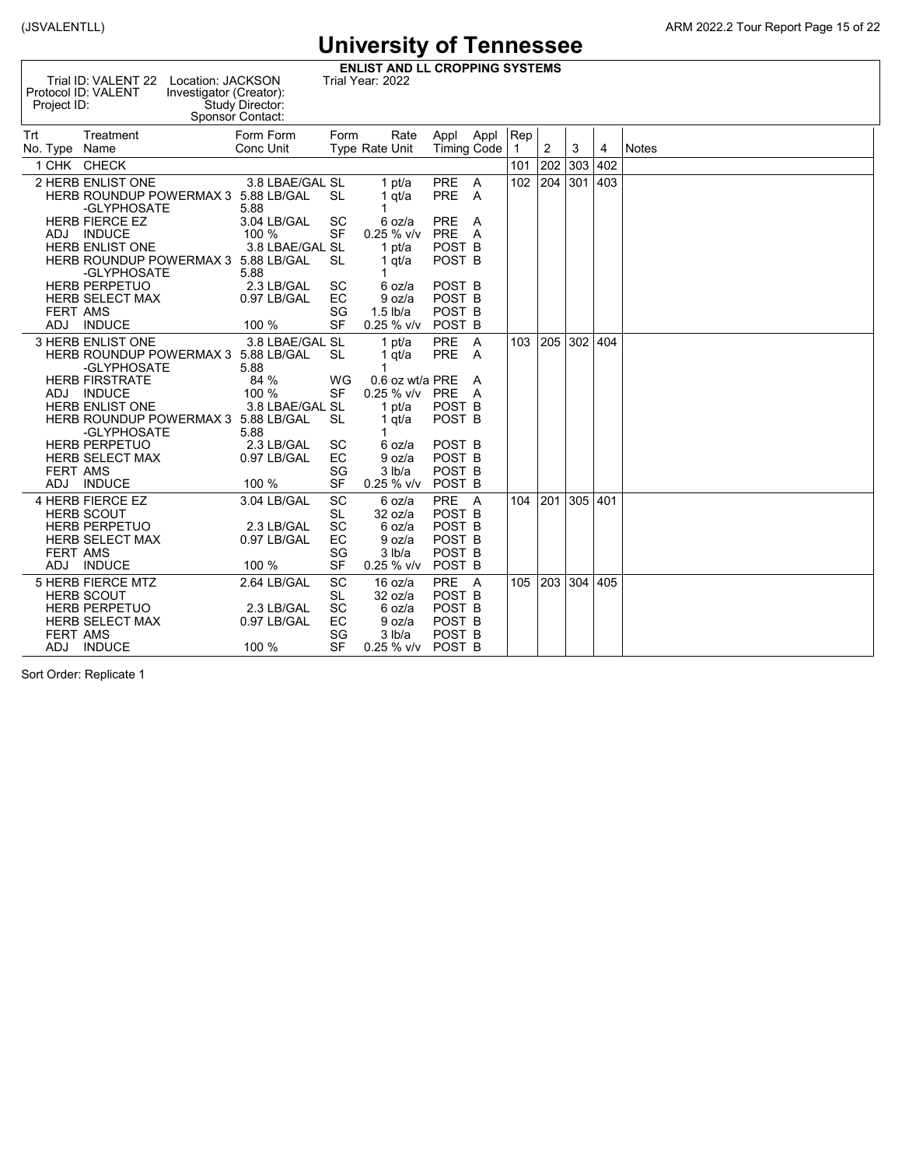(JSVALENTLL) ARM 2022.2 Tour Report Page 15 of 22

**ENLIST AND LL CROPPING SYSTEMS**<br>Trial Year: 2022 Location: JACKSON Trial Year: 2022

| Trial ID: VALENT 22<br>Protocol ID: VALENT<br>Project ID:                                        | Location: JACKSON<br>Investigator (Creator):<br>Study Director:<br>Sponsor Contact: |                              | Trial Year: 2022                 |                                                             |        |     |     |             |     |              |
|--------------------------------------------------------------------------------------------------|-------------------------------------------------------------------------------------|------------------------------|----------------------------------|-------------------------------------------------------------|--------|-----|-----|-------------|-----|--------------|
| <b>Trt</b><br>Treatment<br>No. Type<br>Name                                                      | Form Form<br>Conc Unit                                                              | Form                         | Rate<br><b>Type Rate Unit</b>    | Appl Appl<br><b>Timing Code</b>                             |        | Rep | 2   | 3           | 4   | <b>Notes</b> |
| 1 CHK CHECK                                                                                      |                                                                                     |                              |                                  |                                                             |        | 101 | 202 | 303         | 402 |              |
| 2 HERB ENLIST ONE<br>HERB ROUNDUP POWERMAX 3 5.88 LB/GAL<br>-GLYPHOSATE<br><b>HERB FIERCE EZ</b> | 3.8 LBAE/GAL SL<br>5.88<br>3.04 LB/GAL                                              | SL<br><b>SC</b>              | 1 pt/a<br>1 $qt/a$<br>6 oz/a     | PRE A<br><b>PRE</b><br><b>PRE</b>                           | A<br>A | 102 | 204 | 301         | 403 |              |
| <b>INDUCE</b><br>ADJ                                                                             | $100 \%$                                                                            | <b>SF</b>                    | 0.25 % v/v                       | PRE A                                                       |        |     |     |             |     |              |
| <b>HERB ENLIST ONE</b><br>HERB ROUNDUP POWERMAX 3 5.88 LB/GAL<br>-GLYPHOSATE                     | 3.8 LBAE/GAL SL<br>5.88                                                             | <b>SL</b>                    | 1 pt/a<br>1 qt/a                 | POST <sub>B</sub><br>POST <sub>B</sub>                      |        |     |     |             |     |              |
| <b>HERB PERPETUO</b><br><b>HERB SELECT MAX</b><br><b>FERT AMS</b>                                | 2.3 LB/GAL<br>0.97 LB/GAL                                                           | <b>SC</b><br>EC<br>SG        | 6 oz/a<br>9 oz/a<br>$1.5$ lb/a   | POST <sub>B</sub><br>POST <sub>B</sub><br>POST <sub>B</sub> |        |     |     |             |     |              |
| <b>ADJ</b><br><b>INDUCE</b>                                                                      | 100 %                                                                               | <b>SF</b>                    | $0.25 \%$ v/v                    | POST <sub>B</sub>                                           |        |     |     |             |     |              |
| <b>3 HERB ENLIST ONE</b><br>HERB ROUNDUP POWERMAX 3 5.88 LB/GAL<br>-GLYPHOSATE                   | 3.8 LBAE/GAL SL<br>5.88                                                             | SL                           | 1 pt/a<br>1 qt/a                 | PRE A<br><b>PRE</b>                                         | A      | 103 |     | 205 302     | 404 |              |
| <b>HERB FIRSTRATE</b><br>ADJ INDUCE                                                              | 84 %<br>100 %                                                                       | WG<br><b>SF</b>              | 0.6 oz wt/a PRE<br>$0.25 \%$ v/v | PRE A                                                       | A      |     |     |             |     |              |
| <b>HERB ENLIST ONE</b><br>HERB ROUNDUP POWERMAX 3 5.88 LB/GAL<br>-GLYPHOSATE                     | 3.8 LBAE/GAL SL<br>5.88                                                             | <b>SL</b>                    | 1 $pt/a$<br>1 $qt/a$             | POST B<br>POST <sub>B</sub>                                 |        |     |     |             |     |              |
| <b>HERB PERPETUO</b><br><b>HERB SELECT MAX</b><br><b>FERT AMS</b>                                | 2.3 LB/GAL<br>0.97 LB/GAL                                                           | SC<br>EC<br>SG               | 6 oz/a<br>9 oz/a<br>3 lb/a       | POST <sub>B</sub><br>POST <sub>B</sub><br>POST <sub>B</sub> |        |     |     |             |     |              |
| <b>INDUCE</b><br><b>ADJ</b>                                                                      | 100 %                                                                               | <b>SF</b>                    | $0.25 \%$ v/v                    | POST <sub>B</sub>                                           |        |     |     |             |     |              |
| 4 HERB FIERCE EZ<br><b>HERB SCOUT</b><br><b>HERB PERPETUO</b>                                    | 3.04 LB/GAL<br>2.3 LB/GAL                                                           | <b>SC</b><br>SL<br><b>SC</b> | 6 oz/a<br>32 oz/a<br>6 oz/a      | PRE A<br>POST <sub>B</sub><br>POST <sub>B</sub>             |        | 104 | 201 | 305         | 401 |              |
| <b>HERB SELECT MAX</b><br><b>FERT AMS</b>                                                        | 0.97 LB/GAL                                                                         | EC<br>SG                     | 9 oz/a<br>3 lb/a                 | POST <sub>B</sub><br>POST <sub>B</sub>                      |        |     |     |             |     |              |
| <b>INDUCE</b><br>ADJ                                                                             | 100 %                                                                               | <b>SF</b>                    | $0.25 \%$ v/v                    | POST <sub>B</sub>                                           |        |     |     |             |     |              |
| <b>5 HERB FIERCE MTZ</b><br><b>HERB SCOUT</b>                                                    | 2.64 LB/GAL                                                                         | <b>SC</b><br><b>SL</b>       | 16 oz/a<br>32 oz/a               | PRE A<br>POST <sub>B</sub>                                  |        | 105 |     | 203 304 405 |     |              |
| <b>HERB PERPETUO</b>                                                                             | 2.3 LB/GAL                                                                          | <b>SC</b>                    | 6 oz/a                           | POST <sub>B</sub>                                           |        |     |     |             |     |              |
| <b>HERB SELECT MAX</b><br><b>FERT AMS</b>                                                        | 0.97 LB/GAL                                                                         | EC<br>SG                     | 9 oz/a<br>3 lb/a                 | POST <sub>B</sub><br>POST <sub>B</sub>                      |        |     |     |             |     |              |
| <b>INDUCE</b><br>ADJ                                                                             | 100 %                                                                               | <b>SF</b>                    | 0.25 % v/v                       | POST <sub>B</sub>                                           |        |     |     |             |     |              |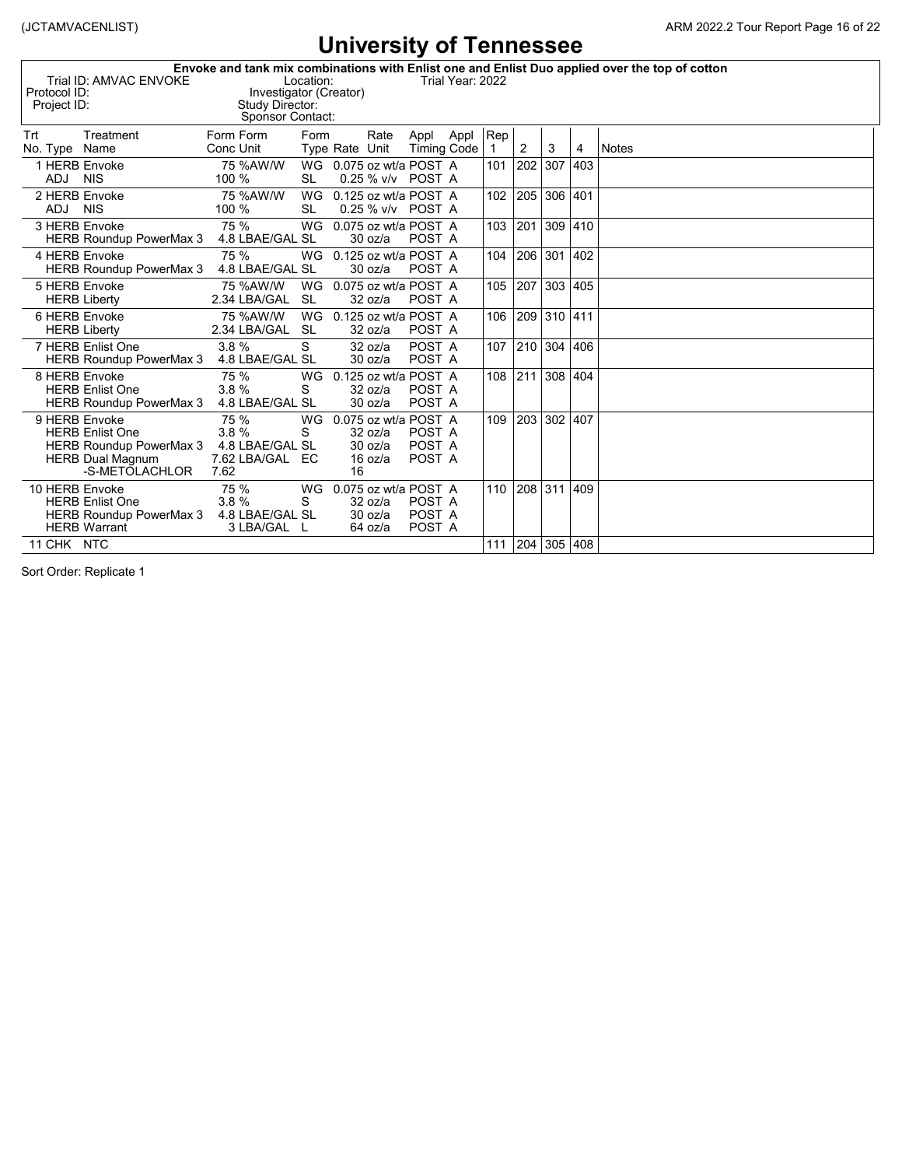| Protocol ID:<br>Project ID: | Trial ID: AMVAC ENVOKE                                                                         | Study Director:<br>Sponsor Contact:                        | Location:       | Investigator (Creator)                                      |      |                            | Trial Year: 2022 |                     |             |         |     | Envoke and tank mix combinations with Enlist one and Enlist Duo applied over the top of cotton |
|-----------------------------|------------------------------------------------------------------------------------------------|------------------------------------------------------------|-----------------|-------------------------------------------------------------|------|----------------------------|------------------|---------------------|-------------|---------|-----|------------------------------------------------------------------------------------------------|
| Trt<br>No. Type             | Treatment<br>Name                                                                              | Form Form<br>Conc Unit                                     | Form            | Type Rate Unit                                              | Rate | Appl<br><b>Timing Code</b> | Appl             | Rep<br>$\mathbf{1}$ | 2           | 3       | 4   | <b>Notes</b>                                                                                   |
| 1 HERB Envoke<br>ADJ        | <b>NIS</b>                                                                                     | 75 %AW/W<br>100 %                                          | SL              | WG 0.075 oz wt/a POST A                                     |      | 0.25 % v/v POST A          |                  | 101                 | 202         | 307     | 403 |                                                                                                |
| 2 HERB Envoke<br>ADJ        | <b>NIS</b>                                                                                     | 75 %AW/W<br>100 %                                          | WG<br><b>SL</b> | 0.125 oz wt/a POST A                                        |      | 0.25 % v/v POST A          |                  | 102                 | 205 306     |         | 401 |                                                                                                |
| 3 HERB Envoke               | <b>HERB Roundup PowerMax 3</b>                                                                 | 75 %<br>4.8 LBAE/GAL SL                                    | WG              | 0.075 oz wt/a POST A<br>30 oz/a                             |      | POST A                     |                  | 103                 | 201         | 309 410 |     |                                                                                                |
| 4 HERB Envoke               | <b>HERB Roundup PowerMax 3</b>                                                                 | 75 %<br>4.8 LBAE/GAL SL                                    | WG              | 0.125 oz wt/a POST A<br>30 oz/a                             |      | POST A                     |                  | 104                 | 206 301 402 |         |     |                                                                                                |
| 5 HERB Envoke               | <b>HERB Liberty</b>                                                                            | 75 %AW/W<br>2.34 LBA/GAL                                   | <b>SL</b>       | WG 0.075 oz wt/a POST A<br>32 oz/a                          |      | POST A                     |                  | 105                 | 207         | 303 405 |     |                                                                                                |
| 6 HERB Envoke               | <b>HERB Liberty</b>                                                                            | 75 %AW/W<br>2.34 LBA/GAL                                   | WG<br><b>SL</b> | 0.125 oz wt/a POST A<br>32 oz/a                             |      | POST A                     |                  | 106                 | 209 310 411 |         |     |                                                                                                |
|                             | 7 HERB Enlist One<br><b>HERB Roundup PowerMax 3</b>                                            | 3.8%<br>4.8 LBAE/GAL SL                                    | S               | 32 oz/a<br>30 oz/a                                          |      | POST A<br>POST A           |                  | 107                 | 210 304 406 |         |     |                                                                                                |
| 8 HERB Envoke               | <b>HERB Enlist One</b><br><b>HERB Roundup PowerMax 3</b>                                       | 75 %<br>3.8%<br>4.8 LBAE/GAL SL                            | WG<br>S         | 0.125 oz wt/a POST A<br>32 oz/a<br>30 oz/a                  |      | POST A<br>POST A           |                  | 108                 | 211 308     |         | 404 |                                                                                                |
| 9 HERB Envoke               | <b>HERB Enlist One</b><br>HERB Roundup PowerMax 3<br><b>HERB Dual Magnum</b><br>-S-METOLACHLOR | 75 %<br>3.8%<br>4.8 LBAE/GAL SL<br>7.62 LBA/GAL EC<br>7.62 | WG<br>S         | 0.075 oz wt/a POST A<br>32 oz/a<br>30 oz/a<br>16 oz/a<br>16 |      | POST A<br>POST A<br>POST A |                  | 109                 | 203 302     |         | 407 |                                                                                                |
| 10 HERB Envoke              | <b>HERB Enlist One</b><br>HERB Roundup PowerMax 3<br><b>HERB Warrant</b>                       | 75 %<br>3.8%<br>4.8 LBAE/GAL SL<br>3 LBA/GAL L             | WG<br>S         | 0.075 oz wt/a POST A<br>32 oz/a<br>30 oz/a<br>64 oz/a       |      | POST A<br>POST A<br>POST A |                  | 110                 | 208 311     |         | 409 |                                                                                                |
| 11 CHK NTC                  |                                                                                                |                                                            |                 |                                                             |      |                            |                  | 111                 | 204 305 408 |         |     |                                                                                                |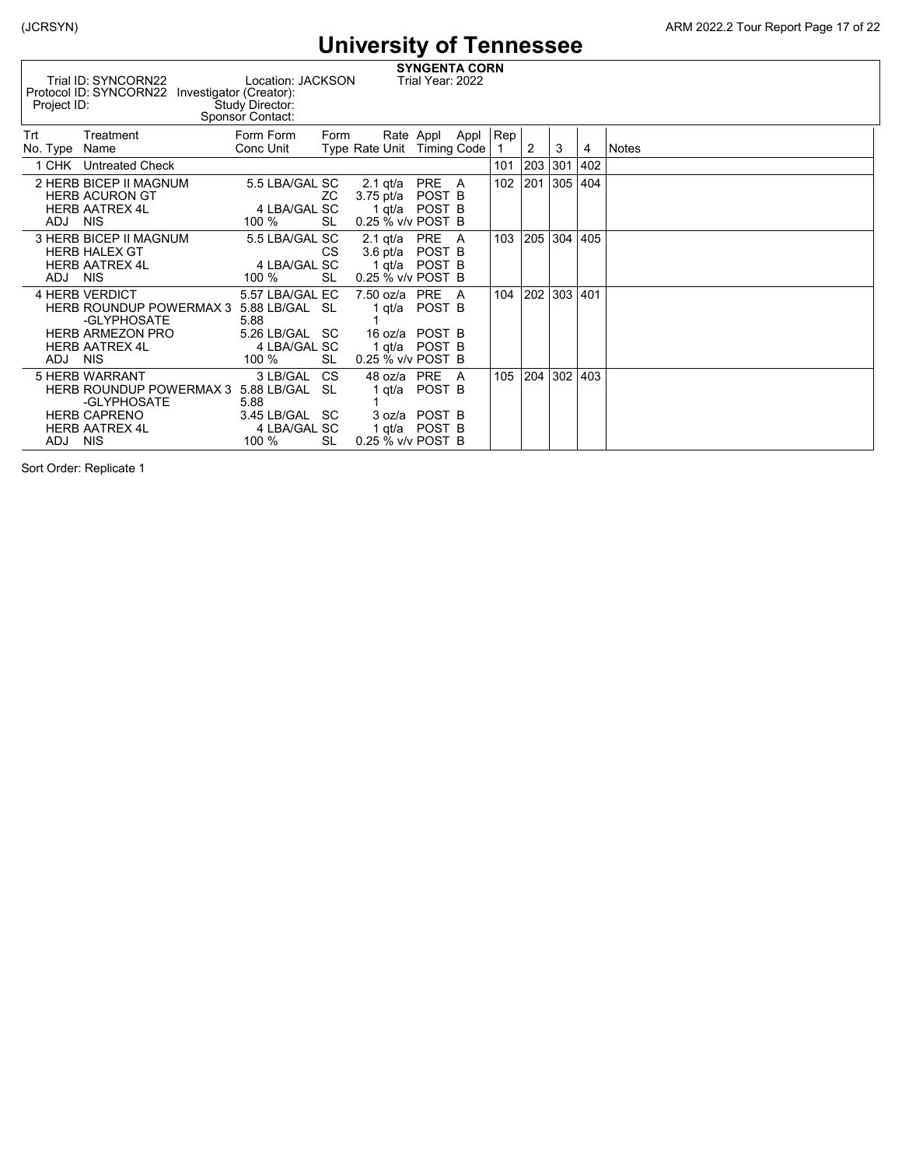| Project ID:          | Trial ID: SYNCORN22<br>Protocol ID: SYNCORN22                                                                                      | Location: JACKSON<br>Investigator (Creator):<br>Study Director:<br>Sponsor Contact: |                 |                                              | <b>SYNGENTA CORN</b><br>Trial Year: 2022                |      |     |     |         |     |       |
|----------------------|------------------------------------------------------------------------------------------------------------------------------------|-------------------------------------------------------------------------------------|-----------------|----------------------------------------------|---------------------------------------------------------|------|-----|-----|---------|-----|-------|
| Trt<br>No. Type Name | Treatment                                                                                                                          | Form Form<br>Conc Unit                                                              | Form            | Type Rate Unit Timing Code                   | Rate Appl                                               | Appl | Rep | 2   | 3       | 4   | Notes |
|                      | 1 CHK Untreated Check                                                                                                              |                                                                                     |                 |                                              |                                                         |      | 101 | 203 | 301     | 402 |       |
| ADJ NIS              | 2 HERB BICEP II MAGNUM<br><b>HERB ACURON GT</b><br><b>HERB AATREX 4L</b>                                                           | 5.5 LBA/GAL SC<br>4 LBA/GAL SC<br>100 %                                             | ZС<br><b>SL</b> | 2.1 qt/a<br>$3.75$ pt/a<br>0.25 % v/v POST B | PRE<br>POST B<br>1 qt/a POST B                          | A    | 102 | 201 | 305 404 |     |       |
| ADJ NIS              | 3 HERB BICEP II MAGNUM<br><b>HERB HALEX GT</b><br><b>HERB AATREX 4L</b>                                                            | 5.5 LBA/GAL SC<br>4 LBA/GAL SC<br>100 %                                             | CS.<br>SL       | 2.1 $qt/a$ PRE<br>0.25 % v/v POST B          | 3.6 pt/a POST B<br>1 gt/a POST B                        | A    | 103 | 205 | 304 405 |     |       |
| ADJ NIS              | <b>4 HERB VERDICT</b><br>HERB ROUNDUP POWERMAX 3 5.88 LB/GAL SL<br>-GLYPHOSATE<br><b>HERB ARMEZON PRO</b><br><b>HERB AATREX 4L</b> | 5.57 LBA/GAL EC<br>5.88<br>5.26 LB/GAL SC<br>4 LBA/GAL SC<br>100 %                  | SL              | 7.50 oz/a PRE<br>1 gt/a<br>0.25 % v/v POST B | POST B<br>16 oz/a POST B<br>1 gt/a POST B               | A    | 104 | 202 | 303 401 |     |       |
| ADJ NIS              | 5 HERB WARRANT<br>HERB ROUNDUP POWERMAX 3 5.88 LB/GAL SL<br>-GLYPHOSATE<br><b>HERB CAPRENO</b><br><b>HERB AATREX 4L</b>            | 3 LB/GAL CS<br>5.88<br>3.45 LB/GAL SC<br>4 LBA/GAL SC<br>100 %                      | <b>SL</b>       | 1 qt/a<br>0.25 % v/v POST B                  | 48 oz/a PRE<br>POST B<br>3 oz/a POST B<br>1 gt/a POST B | A    | 105 | 204 | 302 403 |     |       |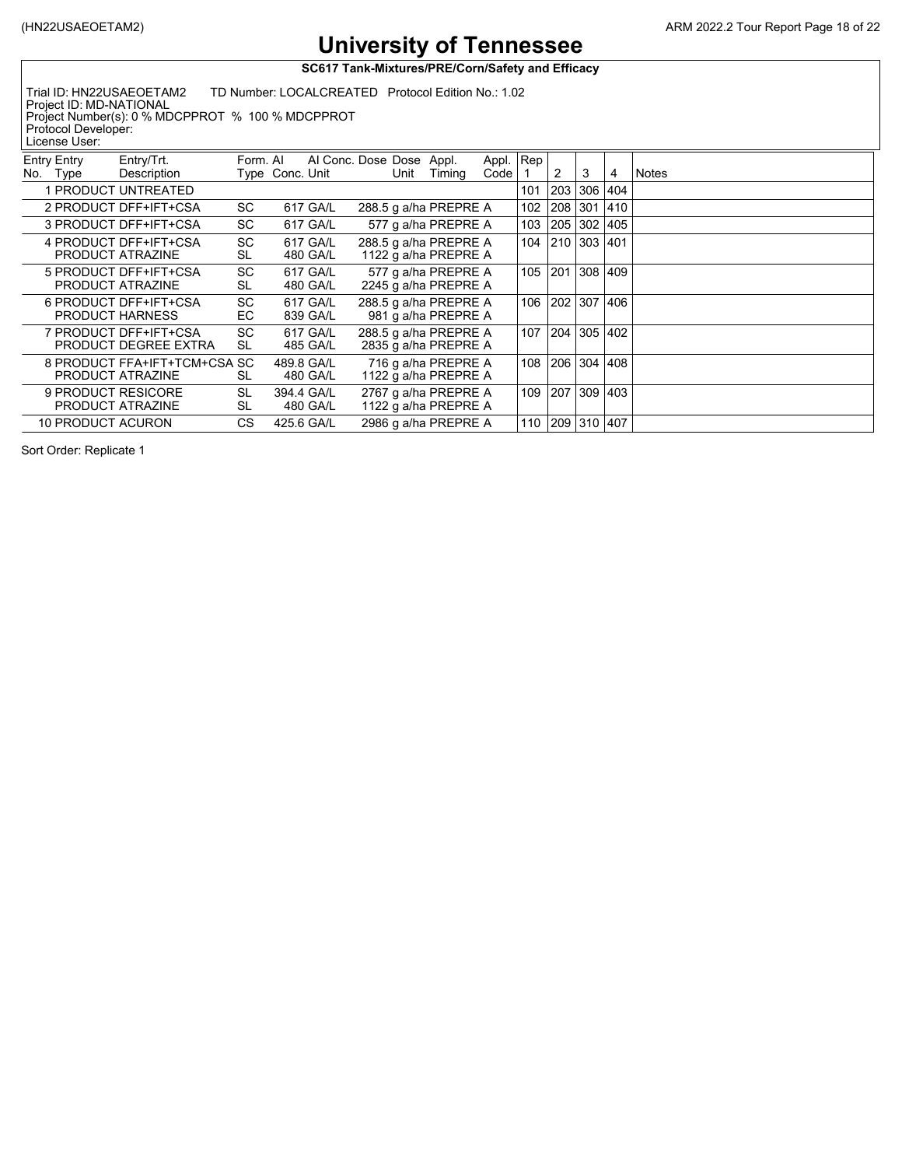**SC617 Tank-Mixtures/PRE/Corn/Safety and Efficacy**

Trial ID: HN22USAEOETAM2 TD Number: LOCALCREATED Protocol Edition No.: 1.02 Project ID: MD-NATIONAL Project Number(s): 0 % MDCPPROT % 100 % MDCPPROT

Protocol Developer:

| License User:                  |                                                  |                        |                 |                      |                                               |        |                   |     |     |             |               |              |
|--------------------------------|--------------------------------------------------|------------------------|-----------------|----------------------|-----------------------------------------------|--------|-------------------|-----|-----|-------------|---------------|--------------|
| <b>Entry Entry</b><br>No. Type | Entry/Trt.<br>Description                        | Form. Al               | Type Conc. Unit |                      | Al Conc. Dose Dose Appl.<br>Unit              | Timing | Appl. Rep<br>Code |     | 2   | 3           | 4             | <b>Notes</b> |
|                                | 1 PRODUCT UNTREATED                              |                        |                 |                      |                                               |        |                   | 101 | 203 | 306 404     |               |              |
|                                | 2 PRODUCT DFF+IFT+CSA                            | SC                     |                 | 617 GA/L             | 288.5 g a/ha PREPRE A                         |        |                   | 102 | 208 | 301         | $ 410\rangle$ |              |
|                                | 3 PRODUCT DFF+IFT+CSA                            | <b>SC</b>              |                 | 617 GA/L             | 577 g a/ha PREPRE A                           |        |                   | 103 | 205 | 302 405     |               |              |
|                                | 4 PRODUCT DFF+IFT+CSA<br>PRODUCT ATRAZINE        | <b>SC</b><br><b>SL</b> |                 | 617 GA/L<br>480 GA/L | 288.5 g a/ha PREPRE A<br>1122 g a/ha PREPRE A |        |                   | 104 |     | 210 303 401 |               |              |
|                                | 5 PRODUCT DFF+IFT+CSA<br>PRODUCT ATRAZINE        | <b>SC</b><br>SL        |                 | 617 GA/L<br>480 GA/L | 577 g a/ha PREPRE A<br>2245 g a/ha PREPRE A   |        |                   | 105 | 201 | 308 409     |               |              |
|                                | 6 PRODUCT DFF+IFT+CSA<br><b>PRODUCT HARNESS</b>  | <b>SC</b><br>EС        |                 | 617 GA/L<br>839 GA/L | 288.5 g a/ha PREPRE A<br>981 g a/ha PREPRE A  |        |                   | 106 | 202 | 307 406     |               |              |
|                                | 7 PRODUCT DFF+IFT+CSA<br>PRODUCT DEGREE EXTRA    | <b>SC</b><br>SL        |                 | 617 GA/L<br>485 GA/L | 288.5 g a/ha PREPRE A<br>2835 g a/ha PREPRE A |        |                   | 107 | 204 | 305 402     |               |              |
|                                | 8 PRODUCT FFA+IFT+TCM+CSA SC<br>PRODUCT ATRAZINE | SL                     | 489.8 GA/L      | 480 GA/L             | 716 g a/ha PREPRE A<br>1122 g a/ha PREPRE A   |        |                   | 108 | 206 | 304 408     |               |              |
|                                | 9 PRODUCT RESICORE<br>PRODUCT ATRAZINE           | <b>SL</b><br><b>SL</b> | 394.4 GA/L      | 480 GA/L             | 2767 g a/ha PREPRE A<br>1122 g a/ha PREPRE A  |        |                   | 109 | 207 | 309 403     |               |              |
| 10 PRODUCT ACURON              |                                                  | CS                     | 425.6 GA/L      |                      | 2986 g a/ha PREPRE A                          |        |                   | 110 | 209 | 310 407     |               |              |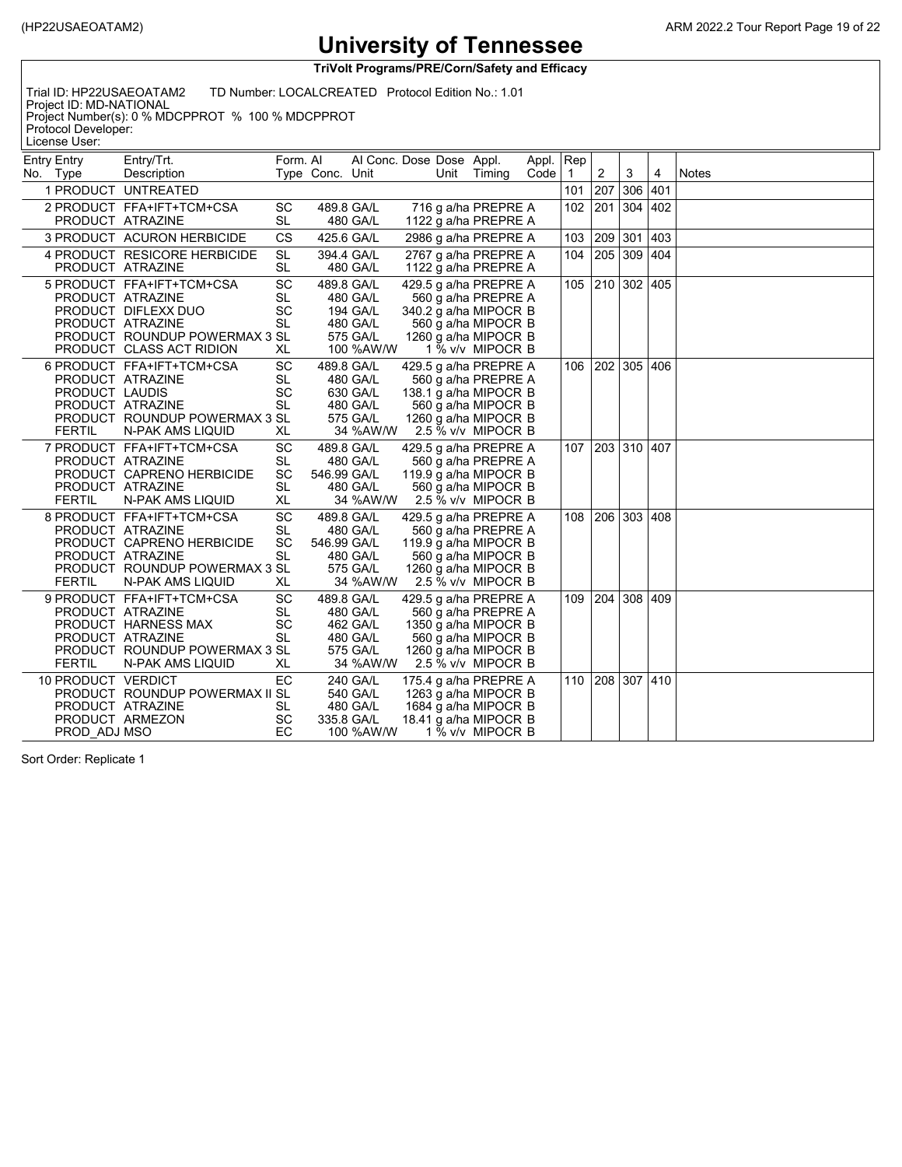**TriVolt Programs/PRE/Corn/Safety and Efficacy**

Trial ID: HP22USAEOATAM2 TD Number: LOCALCREATED Protocol Edition No.: 1.01

Project ID: MD-NATIONAL Project Number(s): 0 % MDCPPROT % 100 % MDCPPROT Protocol Developer:

License User:

| <b>Entry Entry</b><br>No. Type | Entry/Trt.<br>Description                                                                                                                             | Form. Al                                        | Type Conc. Unit | Al Conc. Dose Dose Appl.                                                |  | Unit Timing                                                                                                                                | Appl.<br>Code | Rep<br>$\overline{1}$ | 2   | 3               | 4             | <b>Notes</b> |
|--------------------------------|-------------------------------------------------------------------------------------------------------------------------------------------------------|-------------------------------------------------|-----------------|-------------------------------------------------------------------------|--|--------------------------------------------------------------------------------------------------------------------------------------------|---------------|-----------------------|-----|-----------------|---------------|--------------|
|                                | 1 PRODUCT UNTREATED                                                                                                                                   |                                                 |                 |                                                                         |  |                                                                                                                                            |               | 101                   | 207 | 306             | 401           |              |
|                                | 2 PRODUCT FFA+IFT+TCM+CSA<br>PRODUCT ATRAZINE                                                                                                         | SC<br><b>SL</b>                                 |                 | 489.8 GA/L<br>480 GA/L                                                  |  | 716 g a/ha PREPRE A<br>1122 g a/ha PREPRE A                                                                                                |               | 102                   | 201 | 304             | 402           |              |
|                                | 3 PRODUCT ACURON HERBICIDE                                                                                                                            | <b>CS</b>                                       |                 | 425.6 GA/L                                                              |  | 2986 g a/ha PREPRE A                                                                                                                       |               | 103                   | 209 | 301             | $ 403\rangle$ |              |
|                                | 4 PRODUCT RESICORE HERBICIDE<br>PRODUCT ATRAZINE                                                                                                      | <b>SL</b><br><b>SL</b>                          |                 | 394.4 GA/L<br>480 GA/L                                                  |  | 2767 g a/ha PREPRE A<br>1122 g a/ha PREPRE A                                                                                               |               | 104                   | 205 | 309 404         |               |              |
|                                | 5 PRODUCT FFA+IFT+TCM+CSA<br>PRODUCT ATRAZINE<br>PRODUCT DIFLEXX DUO<br>PRODUCT ATRAZINE<br>PRODUCT ROUNDUP POWERMAX 3 SL<br>PRODUCT CLASS ACT RIDION | SC<br><b>SL</b><br><b>SC</b><br><b>SL</b><br>XL |                 | 489.8 GA/L<br>480 GA/L<br>194 GA/L<br>480 GA/L<br>575 GA/L<br>100 %AW/W |  | 429.5 g a/ha PREPRE A<br>560 g a/ha PREPRE A<br>340.2 g a/ha MIPOCR B<br>560 g a/ha MIPOCR B<br>1260 g a/ha MIPOCR B<br>1 % v/v MIPOCR B   |               |                       |     | 105 210 302 405 |               |              |
| <b>FERTIL</b>                  | 6 PRODUCT FFA+IFT+TCM+CSA<br>PRODUCT ATRAZINE<br>PRODUCT LAUDIS<br>PRODUCT ATRAZINE<br>PRODUCT ROUNDUP POWERMAX 3 SL<br>N-PAK AMS LIQUID              | SC<br><b>SL</b><br>SC<br><b>SL</b><br>XL        |                 | 489.8 GA/L<br>480 GA/L<br>630 GA/L<br>480 GA/L<br>575 GA/L<br>34 %AW/W  |  | 429.5 g a/ha PREPRE A<br>560 g a/ha PREPRE A<br>138.1 g a/ha MIPOCR B<br>560 g a/ha MIPOCR B<br>1260 g a/ha MIPOCR B<br>2.5 % v/v MIPOCR B |               | 106                   |     | 202 305 406     |               |              |
| <b>FERTIL</b>                  | 7 PRODUCT FFA+IFT+TCM+CSA<br>PRODUCT ATRAZINE<br>PRODUCT CAPRENO HERBICIDE<br>PRODUCT ATRAZINE<br>N-PAK AMS LIQUID                                    | SC<br>SL<br><b>SC</b><br><b>SL</b><br>XL        | 546.99 GA/L     | 489.8 GA/L<br>480 GA/L<br>480 GA/L<br>34 %AW/W                          |  | 429.5 g a/ha PREPRE A<br>560 g a/ha PREPRE A<br>119.9 g a/ha MIPOCR B<br>560 g a/ha MIPOCR B<br>2.5 % v/v MIPOCR B                         |               |                       |     | 107 203 310 407 |               |              |
| <b>FERTIL</b>                  | 8 PRODUCT FFA+IFT+TCM+CSA<br>PRODUCT ATRAZINE<br>PRODUCT CAPRENO HERBICIDE<br>PRODUCT ATRAZINE<br>PRODUCT ROUNDUP POWERMAX 3 SL<br>N-PAK AMS LIQUID   | SC<br><b>SL</b><br>SC<br><b>SL</b><br>XL        | 546.99 GA/L     | 489.8 GA/L<br>480 GA/L<br>480 GA/L<br>575 GA/L<br>34 %AW/W              |  | 429.5 g a/ha PREPRE A<br>560 g a/ha PREPRE A<br>119.9 g a/ha MIPOCR B<br>560 g a/ha MIPOCR B<br>1260 g a/ha MIPOCR B<br>2.5 % v/v MIPOCR B |               | 108                   | 206 | 303 408         |               |              |
| <b>FERTIL</b>                  | 9 PRODUCT FFA+IFT+TCM+CSA<br>PRODUCT ATRAZINE<br>PRODUCT HARNESS MAX<br>PRODUCT ATRAZINE<br>PRODUCT ROUNDUP POWERMAX 3 SL<br>N-PAK AMS LIQUID         | <b>SC</b><br>SL<br><b>SC</b><br><b>SL</b><br>XL |                 | 489.8 GA/L<br>480 GA/L<br>462 GA/L<br>480 GA/L<br>575 GA/L<br>34 %AW/W  |  | 429.5 g a/ha PREPRE A<br>560 g a/ha PREPRE A<br>1350 g a/ha MIPOCR B<br>560 g a/ha MIPOCR B<br>1260 g a/ha MIPOCR B<br>2.5 % v/v MIPOCR B  |               | 109                   | 204 | 308 409         |               |              |
|                                | 10 PRODUCT VERDICT<br>PRODUCT ROUNDUP POWERMAX II SL<br>PRODUCT ATRAZINE<br>PRODUCT ARMEZON<br>PROD ADJ MSO                                           | EC<br>SL<br><b>SC</b><br>EC                     |                 | 240 GA/L<br>540 GA/L<br>480 GA/L<br>335.8 GA/L<br>100 %AW/W             |  | 175.4 g a/ha PREPRE A<br>1263 g a/ha MIPOCR B<br>1684 g a/ha MIPOCR B<br>18.41 g a/ha MIPOCR B<br>1 % v/v MIPOCR B                         |               |                       |     | 110 208 307 410 |               |              |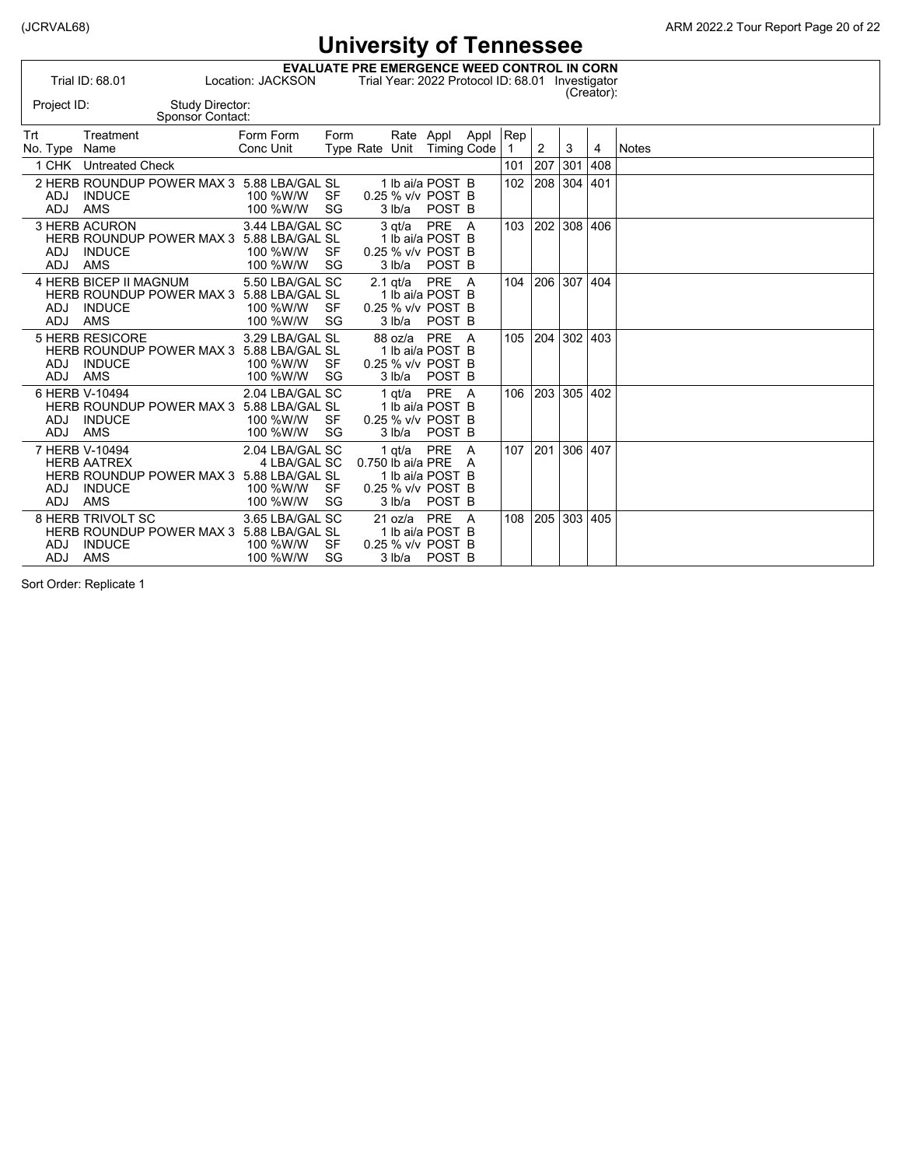|                          |                                                                     |                                            |                                                                         |          |                   |                      | <b>OTTAGESILY OF LETTLESSEE</b>                               |               |                       |         |     |            |              |
|--------------------------|---------------------------------------------------------------------|--------------------------------------------|-------------------------------------------------------------------------|----------|-------------------|----------------------|---------------------------------------------------------------|---------------|-----------------------|---------|-----|------------|--------------|
| Project ID:              | Trial ID: 68.01                                                     | Study Director:                            | <b>EVALUATE PRE EMERGENCE WEED CONTROL IN CORN</b><br>Location: JACKSON |          |                   |                      | Trial Year: 2022 Protocol ID: 68.01 Investigator              |               |                       |         |     | (Creator): |              |
|                          |                                                                     | Sponsor Contact:                           |                                                                         |          |                   |                      |                                                               |               |                       |         |     |            |              |
| Trt<br>No. Type Name     | Treatment                                                           |                                            | Form Form<br>Conc Unit                                                  | Form     |                   | Rate Appl            | Type Rate Unit Timing Code                                    | Appl          | Rep<br>$\overline{1}$ | 2       | 3   | 4          | <b>Notes</b> |
|                          | 1 CHK Untreated Check                                               |                                            |                                                                         |          |                   |                      |                                                               |               | 101                   | 207     | 301 | 408        |              |
| <b>ADJ</b><br>ADJ        | <b>INDUCE</b><br><b>AMS</b>                                         | 2 HERB ROUNDUP POWER MAX 3 5.88 LBA/GAL SL | 100 %W/W<br>100 %W/W                                                    | SF<br>SG |                   | 3 lb/a               | 1 lb ai/a POST B<br>0.25 % v/v POST B<br>POST B               |               | 102                   | 208 304 |     | 401        |              |
| <b>ADJ</b><br><b>ADJ</b> | 3 HERB ACURON<br><b>INDUCE</b><br>AMS                               | HERB ROUNDUP POWER MAX 3 5.88 LBA/GAL SL   | 3.44 LBA/GAL SC<br>100 %W/W<br>100 %W/W                                 | SF<br>SG |                   | $3$ at/a<br>3 lb/a   | PRE A<br>1 lb ai/a POST B<br>0.25 % v/v POST B<br>POST B      |               | 103                   | 202     | 308 | 406        |              |
| <b>ADJ</b><br><b>ADJ</b> | 4 HERB BICEP II MAGNUM<br><b>INDUCE</b><br><b>AMS</b>               | HERB ROUNDUP POWER MAX 3 5.88 LBA/GAL SL   | 5.50 LBA/GAL SC<br>100 %W/W<br>100 %W/W                                 | SF<br>SG |                   | $2.1$ gt/a<br>3 lb/a | PRE A<br>1 lb ai/a POST B<br>0.25 % v/v POST B<br>POST B      |               | 104                   | 206     | 307 | 404        |              |
| <b>ADJ</b><br><b>ADJ</b> | 5 HERB RESICORE<br><b>INDUCE</b><br><b>AMS</b>                      | HERB ROUNDUP POWER MAX 3 5.88 LBA/GAL SL   | 3.29 LBA/GAL SL<br>100 %W/W<br>100 %W/W                                 | SF<br>SG |                   | 88 oz/a<br>3 lb/a    | PRE A<br>1 lb ai/a POST B<br>0.25 % v/v POST B<br>POST B      |               | 105                   | 204     | 302 | 403        |              |
| <b>ADJ</b><br><b>ADJ</b> | 6 HERB V-10494<br><b>INDUCE</b><br><b>AMS</b>                       | HERB ROUNDUP POWER MAX 3 5.88 LBA/GAL SL   | 2.04 LBA/GAL SC<br>100 %W/W<br>100 %W/W                                 | SF<br>SG |                   | $1$ at/a<br>3 lb/a   | PRE A<br>1 lb ai/a POST B<br>0.25 % v/v POST B<br>POST B      |               | 106                   | 203     | 305 | 402        |              |
| <b>ADJ</b><br><b>ADJ</b> | 7 HERB V-10494<br><b>HERB AATREX</b><br><b>INDUCE</b><br><b>AMS</b> | HERB ROUNDUP POWER MAX 3 5.88 LBA/GAL SL   | 2.04 LBA/GAL SC<br>4 LBA/GAL SC<br>100 %W/W<br>100 %W/W                 | SF<br>SG | 0.750 lb ai/a PRE | 1 $qt/a$<br>3 lb/a   | <b>PRE</b><br>1 lb ai/a POST B<br>0.25 % v/v POST B<br>POST B | <b>A</b><br>A | 107                   | 201     | 306 | 407        |              |
| ADJ<br><b>ADJ</b>        | 8 HERB TRIVOLT SC<br><b>INDUCE</b><br><b>AMS</b>                    | HERB ROUNDUP POWER MAX 3 5.88 LBA/GAL SL   | 3.65 LBA/GAL SC<br>100 %W/W<br>100 %W/W                                 | SF<br>SG |                   | 21 oz/a<br>3 lb/a    | PRE A<br>1 lb ai/a POST B<br>0.25 % v/v POST B<br>POST B      |               | 108                   | 205     | 303 | 405        |              |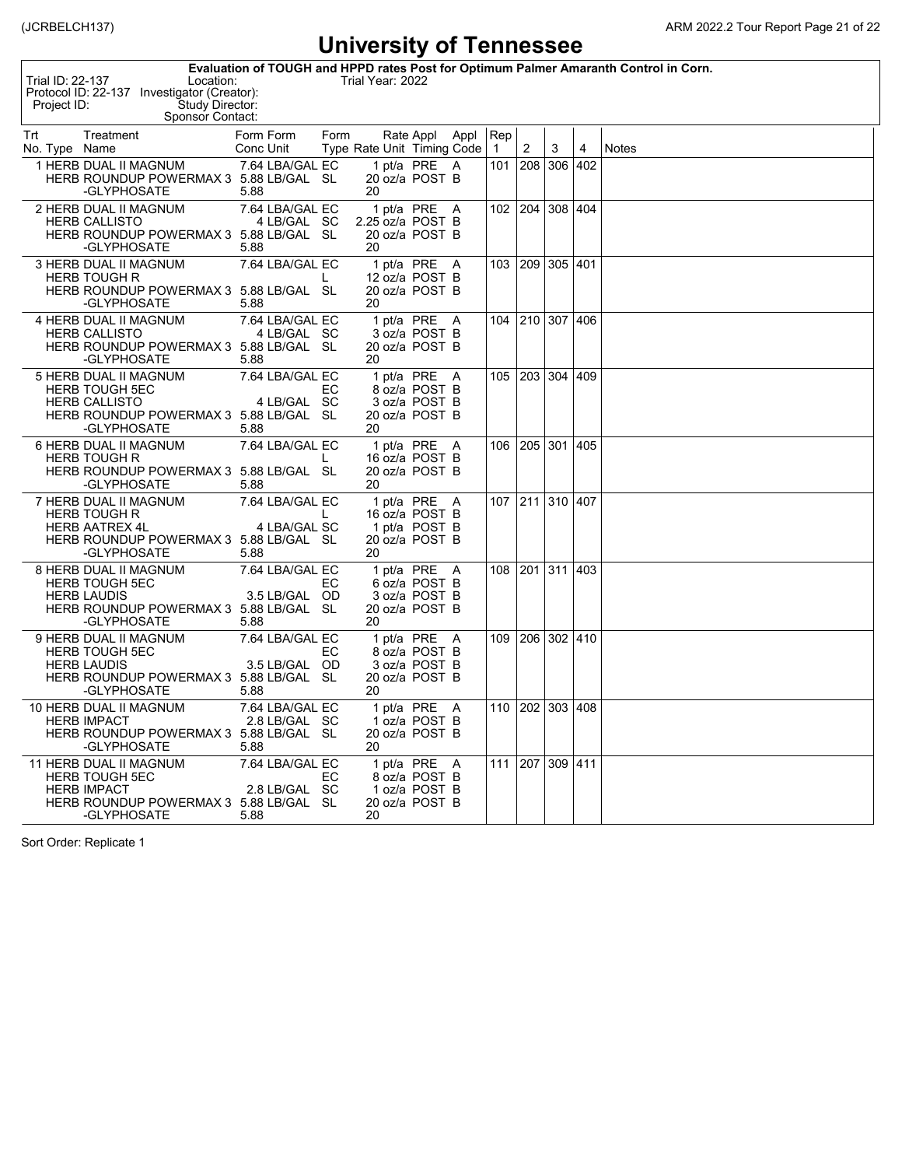| Evaluation of TOUGH and HPPD rates Post for Optimum Palmer Amaranth Control in Corn.<br>Trial ID: 22-137<br>Trial Year: 2022<br>Location:<br>Protocol ID: 22-137 Investigator (Creator):<br>Study Director:<br>Project ID:<br>Sponsor Contact: |                                                                                                                                       |                                          |      |    |  |                                                                   |  |          |         |                       |     |       |
|------------------------------------------------------------------------------------------------------------------------------------------------------------------------------------------------------------------------------------------------|---------------------------------------------------------------------------------------------------------------------------------------|------------------------------------------|------|----|--|-------------------------------------------------------------------|--|----------|---------|-----------------------|-----|-------|
| Trt<br>No. Type Name                                                                                                                                                                                                                           | Treatment                                                                                                                             | Form Form<br>Conc Unit                   | Form |    |  | Rate Appl Appl<br>Type Rate Unit Timing Code                      |  | Rep<br>1 | 2       | 3                     | 4   | Notes |
|                                                                                                                                                                                                                                                | 1 HERB DUAL II MAGNUM<br>HERB ROUNDUP POWERMAX 3 5.88 LB/GAL SL<br>-GLYPHOSATE                                                        | 7.64 LBA/GAL EC<br>5.88                  |      | 20 |  | 1 pt/a PRE A<br>20 oz/a POST B                                    |  | 101      | 208 306 |                       | 402 |       |
|                                                                                                                                                                                                                                                | 2 HERB DUAL II MAGNUM<br><b>HERB CALLISTO</b><br>HERB ROUNDUP POWERMAX 3 5.88 LB/GAL SL<br>-GLYPHOSATE                                | 7.64 LBA/GAL EC<br>4 LB/GAL SC<br>5.88   |      | 20 |  | 1 pt/a PRE A<br>2.25 oz/a POST B<br>20 oz/a POST B                |  |          |         | 102   204   308   404 |     |       |
|                                                                                                                                                                                                                                                | <b>3 HERB DUAL II MAGNUM</b><br><b>HERB TOUGH R</b><br>HERB ROUNDUP POWERMAX 3 5.88 LB/GAL SL<br>-GLYPHOSATE                          | 7.64 LBA/GAL EC<br>5.88                  | L    | 20 |  | 1 pt/a PRE A<br>12 oz/a POST B<br>20 oz/a POST B                  |  |          |         | 103   209   305   401 |     |       |
|                                                                                                                                                                                                                                                | <b>4 HERB DUAL II MAGNUM</b><br><b>HERB CALLISTO</b><br>HERB ROUNDUP POWERMAX 3 5.88 LB/GAL SL<br>-GLYPHOSATE                         | 7.64 LBA/GAL EC<br>4 LB/GAL SC<br>5.88   |      | 20 |  | 1 pt/a PRE A<br>3 oz/a POST B<br>20 oz/a POST B                   |  |          |         | 104 210 307 406       |     |       |
|                                                                                                                                                                                                                                                | 5 HERB DUAL II MAGNUM<br><b>HERB TOUGH 5EC</b><br><b>HERB CALLISTO</b><br>HERB ROUNDUP POWERMAX 3 5.88 LB/GAL SL<br>-GLYPHOSATE       | 7.64 LBA/GAL EC<br>4 LB/GAL SC<br>5.88   | EC   | 20 |  | 1 pt/a PRE A<br>8 oz/a POST B<br>3 oz/a POST B<br>20 oz/a POST B  |  | 105      |         | 203   304   409       |     |       |
|                                                                                                                                                                                                                                                | 6 HERB DUAL II MAGNUM<br><b>HERB TOUGH R</b><br>HERB ROUNDUP POWERMAX 3 5.88 LB/GAL SL<br>-GLYPHOSATE                                 | 7.64 LBA/GAL EC<br>5.88                  | L    | 20 |  | 1 pt/a PRE A<br>16 oz/a POST B<br>20 oz/a POST B                  |  | 106      |         | 205 301 405           |     |       |
|                                                                                                                                                                                                                                                | 7 HERB DUAL II MAGNUM<br><b>HERB TOUGH R</b><br><b>HERB AATREX 4L</b><br>HERB ROUNDUP POWERMAX 3 5.88 LB/GAL SL<br>-GLYPHOSATE        | 7.64 LBA/GAL EC<br>4 LBA/GAL SC<br>5.88  | L    | 20 |  | 1 pt/a PRE A<br>16 oz/a POST B<br>1 pt/a POST B<br>20 oz/a POST B |  |          |         | 107 211 310 407       |     |       |
|                                                                                                                                                                                                                                                | 8 HERB DUAL II MAGNUM<br><b>HERB TOUGH 5EC</b><br><b>HERB LAUDIS</b><br>HERB ROUNDUP POWERMAX 3 5.88 LB/GAL SL<br>-GLYPHOSATE         | 7.64 LBA/GAL EC<br>3.5 LB/GAL OD<br>5.88 | EС   | 20 |  | 1 pt/a PRE A<br>6 oz/a POST B<br>3 oz/a POST B<br>20 oz/a POST B  |  | 108      |         | 201 311 403           |     |       |
|                                                                                                                                                                                                                                                | 9 HERB DUAL II MAGNUM<br><b>HERB TOUGH 5EC</b><br><b>HERB LAUDIS</b><br>HERB ROUNDUP POWERMAX 3 5.88 LB/GAL SL<br>-GLYPHOSATE         | 7.64 LBA/GAL EC<br>3.5 LB/GAL OD<br>5.88 | EС   | 20 |  | 1 pt/a PRE A<br>8 oz/a POST B<br>3 oz/a POST B<br>20 oz/a POST B  |  | 109      |         | 206 302 410           |     |       |
|                                                                                                                                                                                                                                                | 10 HERB DUAL II MAGNUM<br><b>HERB IMPACT</b><br>HERB ROUNDUP POWERMAX 3 5.88 LB/GAL SL<br>-GLYPHOSATE                                 | 7.64 LBA/GAL EC<br>2.8 LB/GAL SC<br>5.88 |      | 20 |  | 1 pt/a PRE A<br>1 oz/a POST B<br>20 oz/a POST B                   |  |          |         | 110 202 303 408       |     |       |
|                                                                                                                                                                                                                                                | <b>11 HERB DUAL II MAGNUM</b><br><b>HERB TOUGH 5EC</b><br><b>HERB IMPACT</b><br>HERB ROUNDUP POWERMAX 3 5.88 LB/GAL SL<br>-GLYPHOSATE | 7.64 LBA/GAL EC<br>2.8 LB/GAL SC<br>5.88 | EС   | 20 |  | 1 pt/a PRE A<br>8 oz/a POST B<br>1 oz/a POST B<br>20 oz/a POST B  |  | 111      |         | 207 309 411           |     |       |